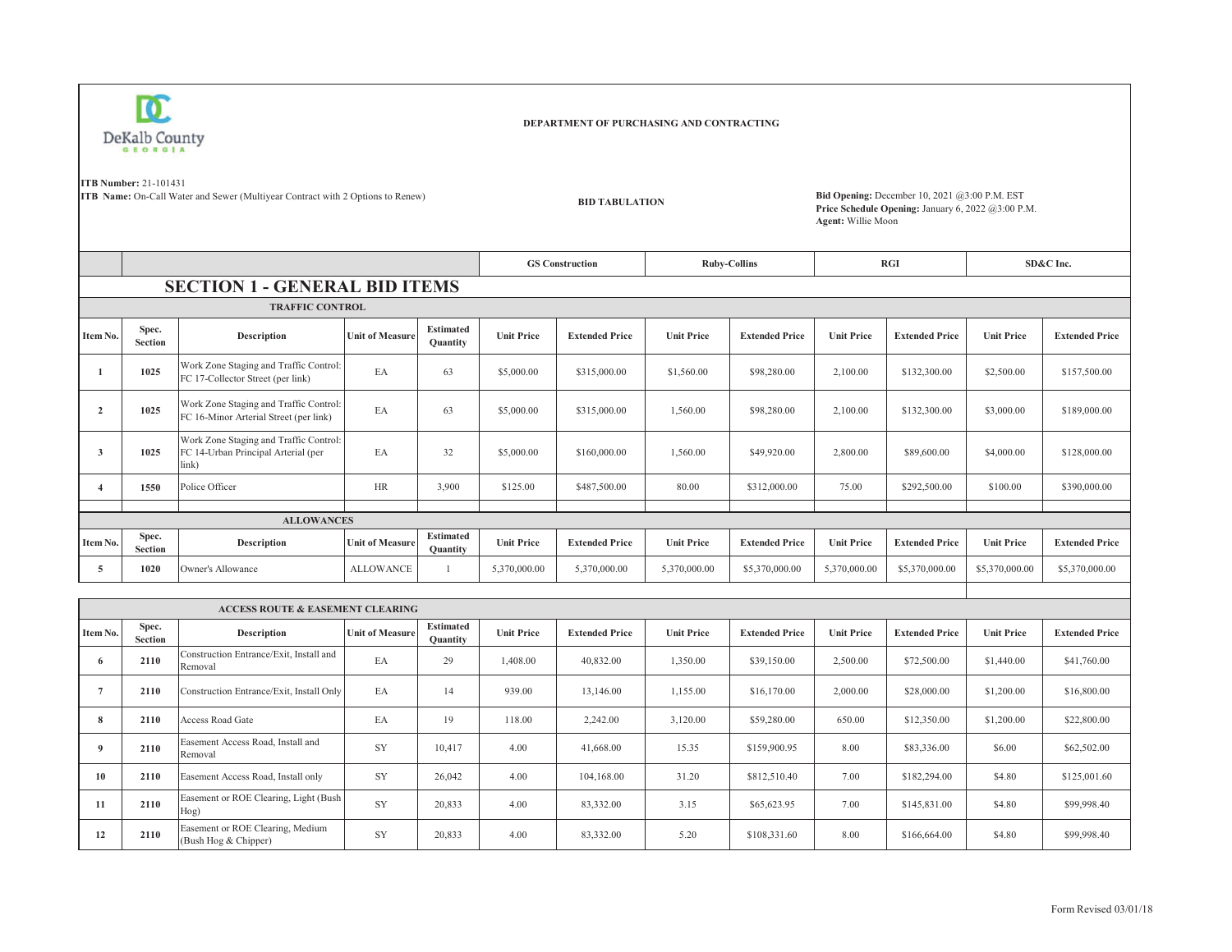

## **DEPARTMENT OF PURCHASING AND CONTRACTING**

**ITB Number:** 21-101431

**ITB Name:** On-Call Water and Sewer (Multiyear Contract with 2 Options to Renew)

**BID TABULATION**

 **Bid Opening:** December 10, 2021 @3:00 P.M. EST **Price Schedule Opening:** January 6, 2022 @3:00 P.M. **Agent:** Willie Moon

|                         |                         |                                                                                        |                        |                                     |                   | <b>GS Construction</b> |                   | <b>Ruby-Collins</b>   |                   | RGI                   |                   | SD&C Inc.             |
|-------------------------|-------------------------|----------------------------------------------------------------------------------------|------------------------|-------------------------------------|-------------------|------------------------|-------------------|-----------------------|-------------------|-----------------------|-------------------|-----------------------|
|                         |                         | <b>SECTION 1 - GENERAL BID ITEMS</b>                                                   |                        |                                     |                   |                        |                   |                       |                   |                       |                   |                       |
|                         |                         | <b>TRAFFIC CONTROL</b>                                                                 |                        |                                     |                   |                        |                   |                       |                   |                       |                   |                       |
| Item No.                | Spec.<br><b>Section</b> | <b>Description</b>                                                                     | <b>Unit of Measure</b> | <b>Estimated</b><br><b>Quantity</b> | <b>Unit Price</b> | <b>Extended Price</b>  | <b>Unit Price</b> | <b>Extended Price</b> | <b>Unit Price</b> | <b>Extended Price</b> | <b>Unit Price</b> | <b>Extended Price</b> |
| $\mathbf{1}$            | 1025                    | Work Zone Staging and Traffic Control:<br>FC 17-Collector Street (per link)            | EA                     | 63                                  | \$5,000.00        | \$315,000.00           | \$1,560.00        | \$98,280.00           | 2,100.00          | \$132,300.00          | \$2,500.00        | \$157,500.00          |
| $\overline{2}$          | 1025                    | Work Zone Staging and Traffic Control:<br>FC 16-Minor Arterial Street (per link)       | EA                     | 63                                  | \$5,000.00        | \$315,000.00           | 1,560.00          | \$98,280.00           | 2,100.00          | \$132,300.00          | \$3,000.00        | \$189,000.00          |
| 3                       | 1025                    | Work Zone Staging and Traffic Control:<br>FC 14-Urban Principal Arterial (per<br>link) | EA                     | 32                                  | \$5,000.00        | \$160,000.00           | 1,560.00          | \$49,920.00           | 2,800.00          | \$89,600.00           | \$4,000.00        | \$128,000.00          |
| $\overline{\mathbf{4}}$ | 1550                    | Police Officer                                                                         | HR                     | 3.900                               | \$125.00          | \$487,500.00           | 80.00             | \$312,000.00          | 75.00             | \$292,500.00          | \$100.00          | \$390,000.00          |
|                         |                         | <b>ALLOWANCES</b>                                                                      |                        |                                     |                   |                        |                   |                       |                   |                       |                   |                       |
| Item No.                | Spec.<br><b>Section</b> | <b>Description</b>                                                                     | <b>Unit of Measure</b> | <b>Estimated</b><br><b>Ouantity</b> | <b>Unit Price</b> | <b>Extended Price</b>  | <b>Unit Price</b> | <b>Extended Price</b> | <b>Unit Price</b> | <b>Extended Price</b> | <b>Unit Price</b> | <b>Extended Price</b> |
| 5                       | 1020                    | Owner's Allowance                                                                      | <b>ALLOWANCE</b>       | $\mathbf{1}$                        | 5,370,000.00      | 5,370,000.00           | 5,370,000.00      | \$5,370,000.00        | 5,370,000.00      | \$5,370,000.00        | \$5,370,000.00    | \$5,370,000.00        |
|                         |                         |                                                                                        |                        |                                     |                   |                        |                   |                       |                   |                       |                   |                       |
|                         |                         | <b>ACCESS ROUTE &amp; EASEMENT CLEARING</b>                                            |                        |                                     |                   |                        |                   |                       |                   |                       |                   |                       |
| Item No.                | Spec.<br><b>Section</b> | <b>Description</b>                                                                     | <b>Unit of Measure</b> | <b>Estimated</b><br><b>Ouantity</b> | <b>Unit Price</b> | <b>Extended Price</b>  | <b>Unit Price</b> | <b>Extended Price</b> | <b>Unit Price</b> | <b>Extended Price</b> | <b>Unit Price</b> | <b>Extended Price</b> |
| 6                       | 2110                    | Construction Entrance/Exit, Install and<br>Removal                                     | EA                     | 29                                  | 1,408.00          | 40,832.00              | 1,350.00          | \$39,150.00           | 2,500.00          | \$72,500.00           | \$1,440.00        | \$41,760.00           |
| $\overline{7}$          | 2110                    | Construction Entrance/Exit, Install Only                                               | EA                     | 14                                  | 939.00            | 13,146.00              | 1.155.00          | \$16,170.00           | 2,000.00          | \$28,000.00           | \$1,200.00        | \$16,800.00           |
| 8                       | 2110                    | <b>Access Road Gate</b>                                                                | EA                     | 19                                  | 118.00            | 2,242.00               | 3.120.00          | \$59,280.00           | 650.00            | \$12,350.00           | \$1,200.00        | \$22,800.00           |
| 9                       | 2110                    | Easement Access Road, Install and<br>Removal                                           | SY                     | 10,417                              | 4.00              | 41,668.00              | 15.35             | \$159,900.95          | 8.00              | \$83,336.00           | \$6.00            | \$62,502.00           |
| 10                      | 2110                    | Easement Access Road, Install only                                                     | SY                     | 26,042                              | 4.00              | 104,168.00             | 31.20             | \$812,510.40          | 7.00              | \$182,294.00          | \$4.80            | \$125,001.60          |
| 11                      | 2110                    | Easement or ROE Clearing, Light (Bush<br>Hog)                                          | <b>SY</b>              | 20.833                              | 4.00              | 83,332.00              | 3.15              | \$65,623.95           | 7.00              | \$145,831.00          | \$4.80            | \$99,998.40           |
| 12                      | 2110                    | Easement or ROE Clearing, Medium<br>(Bush Hog & Chipper)                               | SY                     | 20.833                              | 4.00              | 83,332.00              | 5.20              | \$108,331.60          | 8.00              | \$166,664.00          | \$4.80            | \$99,998.40           |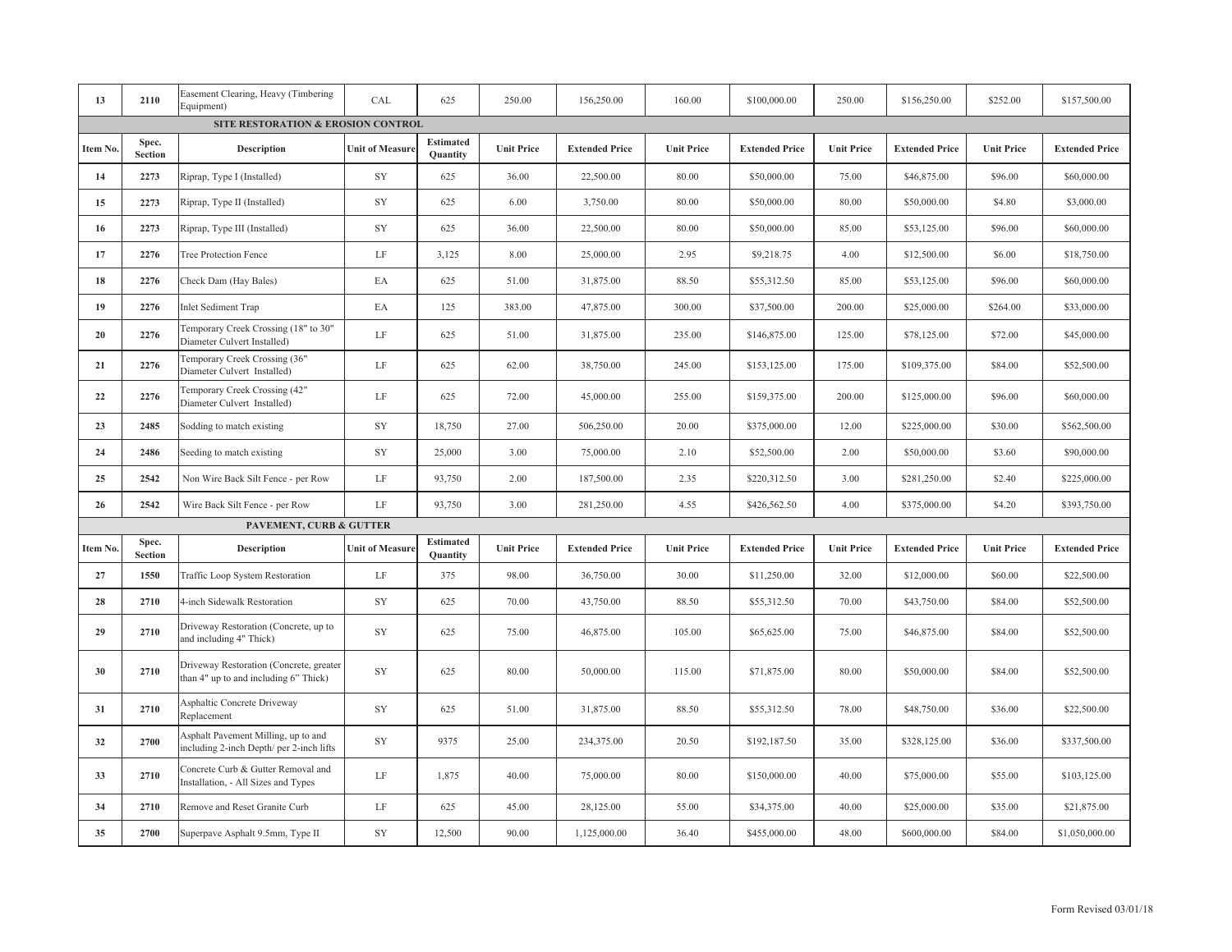| 13       | 2110                    | Easement Clearing, Heavy (Timbering<br>Equipment)                                | CAL                    | 625                                 | 250.00            | 156,250.00            | 160.00            | \$100,000.00          | 250.00            | \$156,250.00          | \$252.00          | \$157,500.00          |
|----------|-------------------------|----------------------------------------------------------------------------------|------------------------|-------------------------------------|-------------------|-----------------------|-------------------|-----------------------|-------------------|-----------------------|-------------------|-----------------------|
|          |                         | SITE RESTORATION & EROSION CONTROL                                               |                        |                                     |                   |                       |                   |                       |                   |                       |                   |                       |
| Item No. | Spec.<br><b>Section</b> | Description                                                                      | <b>Unit of Measure</b> | <b>Estimated</b><br><b>Quantity</b> | <b>Unit Price</b> | <b>Extended Price</b> | <b>Unit Price</b> | <b>Extended Price</b> | <b>Unit Price</b> | <b>Extended Price</b> | <b>Unit Price</b> | <b>Extended Price</b> |
| 14       | 2273                    | Riprap, Type I (Installed)                                                       | SY                     | 625                                 | 36.00             | 22,500.00             | 80.00             | \$50,000.00           | 75.00             | \$46,875.00           | \$96.00           | \$60,000.00           |
| 15       | 2273                    | Riprap, Type II (Installed)                                                      | ${\rm SY}$             | 625                                 | 6.00              | 3,750.00              | 80.00             | \$50,000.00           | 80.00             | \$50,000.00           | \$4.80            | \$3,000.00            |
| 16       | 2273                    | Riprap, Type III (Installed)                                                     | SY                     | 625                                 | 36.00             | 22,500.00             | 80.00             | \$50,000.00           | 85.00             | \$53,125.00           | \$96.00           | \$60,000.00           |
| 17       | 2276                    | Tree Protection Fence                                                            | $\rm LF$               | 3,125                               | 8.00              | 25,000.00             | 2.95              | \$9,218.75            | 4.00              | \$12,500.00           | \$6.00            | \$18,750.00           |
| 18       | 2276                    | Check Dam (Hay Bales)                                                            | EA                     | 625                                 | 51.00             | 31,875.00             | 88.50             | \$55,312.50           | 85.00             | \$53,125.00           | \$96.00           | \$60,000.00           |
| 19       | 2276                    | <b>Inlet Sediment Trap</b>                                                       | EA                     | 125                                 | 383.00            | 47,875.00             | 300.00            | \$37,500.00           | 200.00            | \$25,000.00           | \$264.00          | \$33,000.00           |
| 20       | 2276                    | Temporary Creek Crossing (18" to 30"<br>Diameter Culvert Installed)              | LF                     | 625                                 | 51.00             | 31,875.00             | 235.00            | \$146,875.00          | 125.00            | \$78,125.00           | \$72.00           | \$45,000.00           |
| 21       | 2276                    | Temporary Creek Crossing (36"<br>Diameter Culvert Installed)                     | $\rm LF$               | 625                                 | 62.00             | 38,750.00             | 245.00            | \$153,125.00          | 175.00            | \$109,375.00          | \$84.00           | \$52,500.00           |
| 22       | 2276                    | Temporary Creek Crossing (42"<br>Diameter Culvert Installed)                     | LF                     | 625                                 | 72.00             | 45,000.00             | 255.00            | \$159,375.00          | 200.00            | \$125,000.00          | \$96.00           | \$60,000.00           |
| 23       | 2485                    | Sodding to match existing                                                        | ${\rm SY}$             | 18,750                              | 27.00             | 506,250.00            | 20.00             | \$375,000.00          | 12.00             | \$225,000.00          | \$30.00           | \$562,500.00          |
| 24       | 2486                    | Seeding to match existing                                                        | SY                     | 25,000                              | 3.00              | 75,000.00             | 2.10              | \$52,500.00           | 2.00              | \$50,000.00           | \$3.60            | \$90,000.00           |
| 25       | 2542                    | Non Wire Back Silt Fence - per Row                                               | $\rm LF$               | 93,750                              | 2.00              | 187,500.00            | 2.35              | \$220,312.50          | 3.00              | \$281,250.00          | \$2.40            | \$225,000.00          |
| 26       | 2542                    | Wire Back Silt Fence - per Row                                                   | $\rm LF$               | 93,750                              | 3.00              | 281,250.00            | 4.55              | \$426,562.50          | 4.00              | \$375,000.00          | \$4.20            | \$393,750.00          |
|          |                         | <b>PAVEMENT, CURB &amp; GUTTER</b>                                               |                        |                                     |                   |                       |                   |                       |                   |                       |                   |                       |
| Item No. | Spec.<br><b>Section</b> | Description                                                                      | <b>Unit of Measure</b> | <b>Estimated</b><br>Quantity        | <b>Unit Price</b> | <b>Extended Price</b> | <b>Unit Price</b> | <b>Extended Price</b> | <b>Unit Price</b> | <b>Extended Price</b> | <b>Unit Price</b> | <b>Extended Price</b> |
| 27       | 1550                    | <b>Traffic Loop System Restoration</b>                                           | $\rm LF$               | 375                                 | 98.00             | 36,750.00             | 30.00             | \$11,250.00           | 32.00             | \$12,000.00           | \$60.00           | \$22,500.00           |
| 28       | 2710                    | 4-inch Sidewalk Restoration                                                      | SY                     | 625                                 | 70.00             | 43,750.00             | 88.50             | \$55,312.50           | 70.00             | \$43,750.00           | \$84.00           | \$52,500.00           |
| 29       | 2710                    | Driveway Restoration (Concrete, up to<br>and including 4" Thick)                 | SY                     | 625                                 | 75.00             | 46,875.00             | 105.00            | \$65,625.00           | 75.00             | \$46,875.00           | \$84.00           | \$52,500.00           |
| 30       | 2710                    | Driveway Restoration (Concrete, greater<br>than 4" up to and including 6" Thick) | SY                     | 625                                 | 80.00             | 50,000.00             | 115.00            | \$71,875.00           | 80.00             | \$50,000.00           | \$84.00           | \$52,500.00           |
| 31       | 2710                    | Asphaltic Concrete Driveway<br>Replacement                                       | SY                     | 625                                 | 51.00             | 31,875.00             | 88.50             | \$55,312.50           | 78.00             | \$48,750.00           | \$36.00           | \$22,500.00           |
| 32       | 2700                    | Asphalt Pavement Milling, up to and<br>including 2-inch Depth/ per 2-inch lifts  | SY                     | 9375                                | 25.00             | 234,375.00            | 20.50             | \$192,187.50          | 35.00             | \$328,125.00          | \$36.00           | \$337,500.00          |
| 33       | 2710                    | Concrete Curb & Gutter Removal and<br>Installation, - All Sizes and Types        | $\rm LF$               | 1,875                               | 40.00             | 75,000.00             | 80.00             | \$150,000.00          | 40.00             | \$75,000.00           | \$55.00           | \$103,125.00          |
| 34       | 2710                    | Remove and Reset Granite Curb                                                    | LF                     | 625                                 | 45.00             | 28,125.00             | 55.00             | \$34,375.00           | 40.00             | \$25,000.00           | \$35.00           | \$21,875.00           |
| 35       | 2700                    | Superpave Asphalt 9.5mm, Type II                                                 | ${\rm SY}$             | 12,500                              | 90.00             | 1,125,000.00          | 36.40             | \$455,000.00          | 48.00             | \$600,000.00          | \$84.00           | \$1,050,000.00        |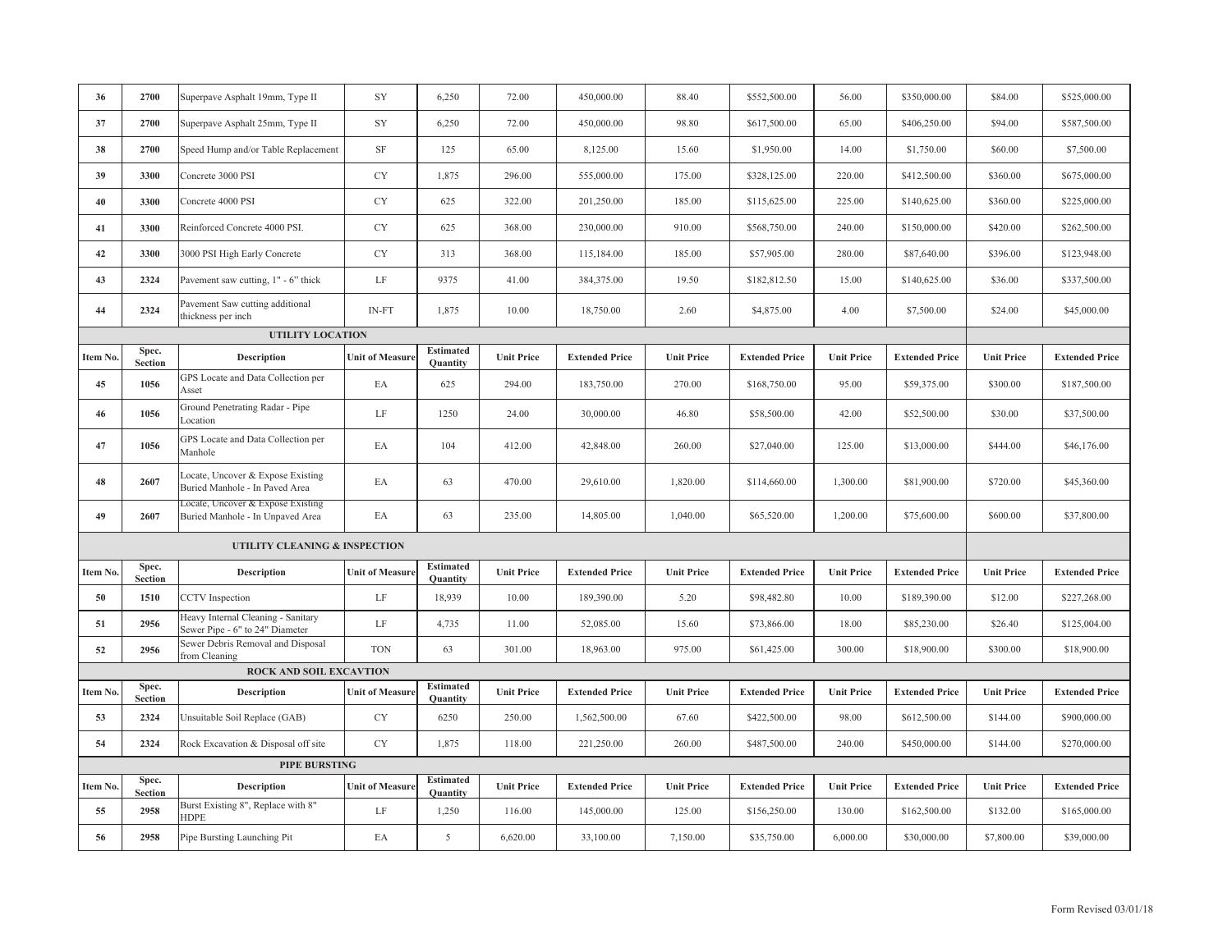| 36       | 2700                    | Superpave Asphalt 19mm, Type II                                       | SY                     | 6,250                               | 72.00             | 450,000.00            | 88.40             | \$552,500.00          | 56.00             | \$350,000.00          | \$84.00           | \$525,000.00          |
|----------|-------------------------|-----------------------------------------------------------------------|------------------------|-------------------------------------|-------------------|-----------------------|-------------------|-----------------------|-------------------|-----------------------|-------------------|-----------------------|
| 37       | 2700                    | Superpave Asphalt 25mm, Type II                                       | SY                     | 6,250                               | 72.00             | 450,000.00            | 98.80             | \$617,500.00          | 65.00             | \$406,250.00          | \$94.00           | \$587,500.00          |
| 38       | 2700                    | Speed Hump and/or Table Replacement                                   | $\rm{SF}$              | 125                                 | 65.00             | 8,125.00              | 15.60             | \$1,950.00            | 14.00             | \$1,750.00            | \$60.00           | \$7,500.00            |
| 39       | 3300                    | Concrete 3000 PSI                                                     | CY                     | 1,875                               | 296.00            | 555,000.00            | 175.00            | \$328,125.00          | 220.00            | \$412,500.00          | \$360.00          | \$675,000.00          |
| 40       | 3300                    | Concrete 4000 PSI                                                     | CY                     | 625                                 | 322.00            | 201,250.00            | 185.00            | \$115,625.00          | 225.00            | \$140,625.00          | \$360.00          | \$225,000.00          |
| 41       | 3300                    | Reinforced Concrete 4000 PSI.                                         | <b>CY</b>              | 625                                 | 368.00            | 230,000.00            | 910.00            | \$568,750.00          | 240.00            | \$150,000.00          | \$420.00          | \$262,500.00          |
| 42       | 3300                    | 3000 PSI High Early Concrete                                          | CY                     | 313                                 | 368.00            | 115,184.00            | 185.00            | \$57,905.00           | 280.00            | \$87,640.00           | \$396.00          | \$123,948.00          |
| 43       | 2324                    | Pavement saw cutting, 1" - 6" thick                                   | $\rm LF$               | 9375                                | 41.00             | 384,375.00            | 19.50             | \$182,812.50          | 15.00             | \$140,625.00          | \$36.00           | \$337,500.00          |
| 44       | 2324                    | Pavement Saw cutting additional<br>thickness per inch                 | $IN-FT$                | 1,875                               | 10.00             | 18,750.00             | 2.60              | \$4,875.00            | 4.00              | \$7,500.00            | \$24.00           | \$45,000.00           |
|          |                         | UTILITY LOCATION                                                      |                        |                                     |                   |                       |                   |                       |                   |                       |                   |                       |
| Item No. | Spec.<br><b>Section</b> | <b>Description</b>                                                    | <b>Unit of Measure</b> | <b>Estimated</b><br><b>Quantity</b> | <b>Unit Price</b> | <b>Extended Price</b> | <b>Unit Price</b> | <b>Extended Price</b> | <b>Unit Price</b> | <b>Extended Price</b> | <b>Unit Price</b> | <b>Extended Price</b> |
| 45       | 1056                    | GPS Locate and Data Collection per<br>Asset                           | EA                     | 625                                 | 294.00            | 183,750.00            | 270.00            | \$168,750.00          | 95.00             | \$59,375.00           | \$300.00          | \$187,500.00          |
| 46       | 1056                    | Ground Penetrating Radar - Pipe<br>Location                           | LF                     | 1250                                | 24.00             | 30,000.00             | 46.80             | \$58,500.00           | 42.00             | \$52,500.00           | \$30.00           | \$37,500.00           |
| 47       | 1056                    | GPS Locate and Data Collection per<br>Manhole                         | EA                     | 104                                 | 412.00            | 42,848.00             | 260.00            | \$27,040.00           | 125.00            | \$13,000.00           | \$444.00          | \$46,176.00           |
| 48       | 2607                    | Locate, Uncover & Expose Existing<br>Buried Manhole - In Paved Area   | EA                     | 63                                  | 470.00            | 29,610.00             | 1,820.00          | \$114,660.00          | 1,300.00          | \$81,900.00           | \$720.00          | \$45,360.00           |
| 49       | 2607                    | Locate, Uncover & Expose Existing<br>Buried Manhole - In Unpaved Area | EA                     | 63                                  | 235.00            | 14,805.00             | 1,040.00          | \$65,520.00           | 1,200.00          | \$75,600.00           | \$600.00          | \$37,800.00           |
|          |                         | UTILITY CLEANING & INSPECTION                                         |                        |                                     |                   |                       |                   |                       |                   |                       |                   |                       |
| Item No. | Spec.<br><b>Section</b> | <b>Description</b>                                                    | <b>Unit of Measure</b> | <b>Estimated</b><br>Quantity        | <b>Unit Price</b> | <b>Extended Price</b> | <b>Unit Price</b> | <b>Extended Price</b> | <b>Unit Price</b> | <b>Extended Price</b> | <b>Unit Price</b> | <b>Extended Price</b> |
| 50       | 1510                    | <b>CCTV</b> Inspection                                                | LF                     | 18,939                              | 10.00             | 189,390.00            | 5.20              | \$98,482.80           | 10.00             | \$189,390.00          | \$12.00           | \$227,268.00          |
| 51       | 2956                    | Heavy Internal Cleaning - Sanitary<br>Sewer Pipe - 6" to 24" Diameter | $\rm LF$               | 4,735                               | 11.00             | 52,085.00             | 15.60             | \$73,866.00           | 18.00             | \$85,230.00           | \$26.40           | \$125,004.00          |
| 52       | 2956                    | Sewer Debris Removal and Disposal<br>from Cleaning                    | <b>TON</b>             | 63                                  | 301.00            | 18,963.00             | 975.00            | \$61,425.00           | 300.00            | \$18,900.00           | \$300.00          | \$18,900.00           |
|          |                         | <b>ROCK AND SOIL EXCAVTION</b>                                        |                        |                                     |                   |                       |                   |                       |                   |                       |                   |                       |
| Item No. | Spec.<br><b>Section</b> | <b>Description</b>                                                    | <b>Unit of Measure</b> | <b>Estimated</b><br>Quantity        | <b>Unit Price</b> | <b>Extended Price</b> | <b>Unit Price</b> | <b>Extended Price</b> | <b>Unit Price</b> | <b>Extended Price</b> | <b>Unit Price</b> | <b>Extended Price</b> |
| 53       | 2324                    | Unsuitable Soil Replace (GAB)                                         | ${\rm CY}$             | 6250                                | 250.00            | 1,562,500.00          | 67.60             | \$422,500.00          | 98.00             | \$612,500.00          | \$144.00          | \$900,000.00          |
| 54       | 2324                    | Rock Excavation & Disposal off site                                   | CY                     | 1,875                               | 118.00            | 221,250.00            | 260.00            | \$487,500.00          | 240.00            | \$450,000.00          | \$144.00          | \$270,000.00          |
|          |                         | PIPE BURSTING                                                         |                        |                                     |                   |                       |                   |                       |                   |                       |                   |                       |
| Item No. | Spec.<br>Section        | <b>Description</b>                                                    | <b>Unit of Measure</b> | <b>Estimated</b><br>Quantity        | <b>Unit Price</b> | <b>Extended Price</b> | <b>Unit Price</b> | <b>Extended Price</b> | <b>Unit Price</b> | <b>Extended Price</b> | <b>Unit Price</b> | <b>Extended Price</b> |
| 55       | 2958                    | Burst Existing 8", Replace with 8"<br><b>HDPE</b>                     | LF                     | 1,250                               | 116.00            | 145,000.00            | 125.00            | \$156,250.00          | 130.00            | \$162,500.00          | \$132.00          | \$165,000.00          |
| 56       | 2958                    | Pipe Bursting Launching Pit                                           | EA                     | 5                                   | 6,620.00          | 33,100.00             | 7,150.00          | \$35,750.00           | 6,000.00          | \$30,000.00           | \$7,800.00        | \$39,000.00           |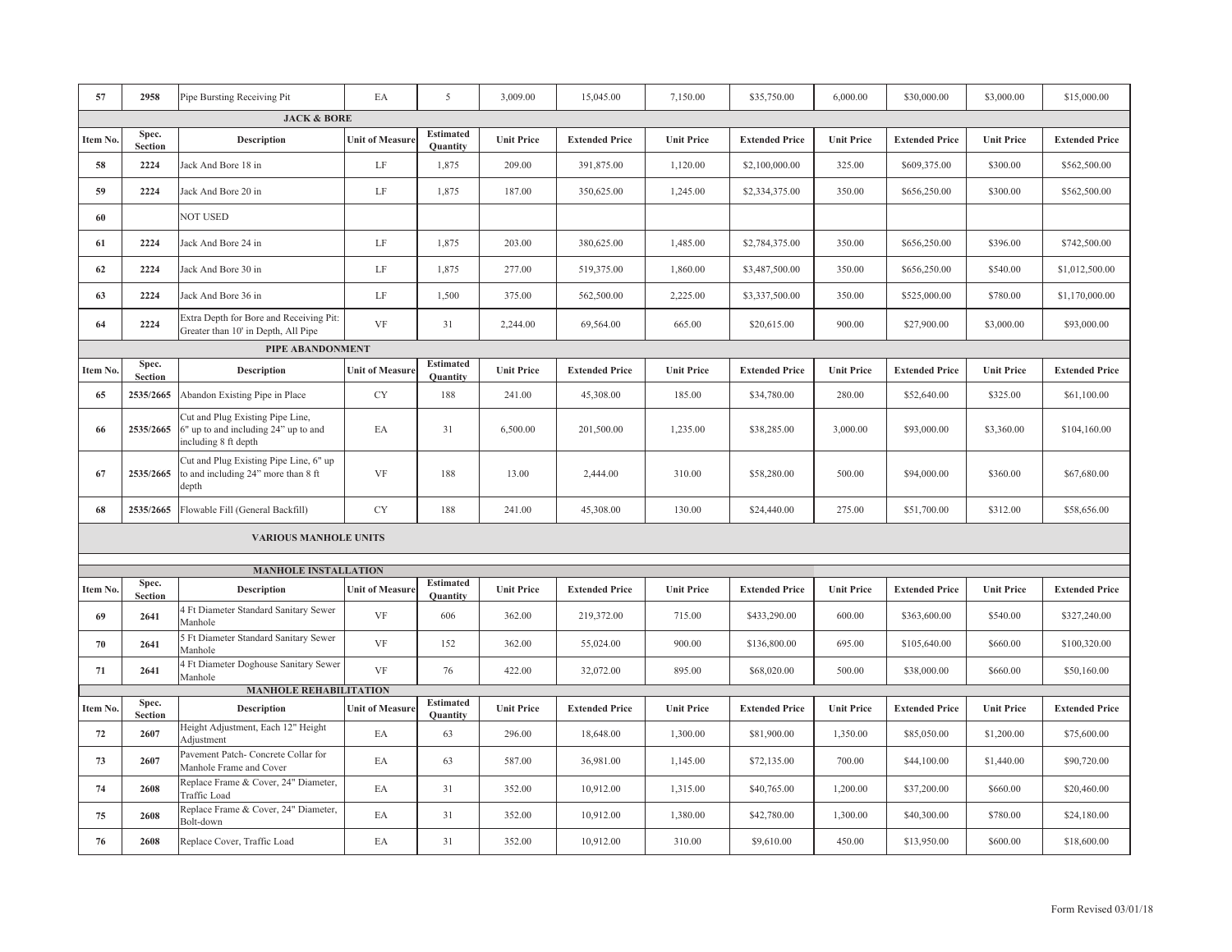| 57             | 2958                    | Pipe Bursting Receiving Pit                                                                      | EA                     | 5                                   | 3,009.00          | 15,045.00             | 7,150.00          | \$35,750.00           | 6,000.00          | \$30,000.00           | \$3,000.00        | \$15,000.00           |
|----------------|-------------------------|--------------------------------------------------------------------------------------------------|------------------------|-------------------------------------|-------------------|-----------------------|-------------------|-----------------------|-------------------|-----------------------|-------------------|-----------------------|
|                |                         | <b>JACK &amp; BORE</b>                                                                           |                        |                                     |                   |                       |                   |                       |                   |                       |                   |                       |
| Item No.       | Spec.<br><b>Section</b> | <b>Description</b>                                                                               | <b>Unit of Measure</b> | <b>Estimated</b><br>Quantity        | <b>Unit Price</b> | <b>Extended Price</b> | <b>Unit Price</b> | <b>Extended Price</b> | <b>Unit Price</b> | <b>Extended Price</b> | <b>Unit Price</b> | <b>Extended Price</b> |
| 58             | 2224                    | Jack And Bore 18 in                                                                              | LF                     | 1,875                               | 209.00            | 391,875.00            | 1,120.00          | \$2,100,000.00        | 325.00            | \$609,375.00          | \$300.00          | \$562,500.00          |
| 59             | 2224                    | Jack And Bore 20 in                                                                              | $\rm LF$               | 1,875                               | 187.00            | 350,625.00            | 1,245.00          | \$2,334,375.00        | 350.00            | \$656,250.00          | \$300.00          | \$562,500.00          |
| 60             |                         | <b>NOT USED</b>                                                                                  |                        |                                     |                   |                       |                   |                       |                   |                       |                   |                       |
| 61             | 2224                    | Jack And Bore 24 in                                                                              | $\rm LF$               | 1,875                               | 203.00            | 380,625.00            | 1,485.00          | \$2,784,375.00        | 350.00            | \$656,250.00          | \$396.00          | \$742,500.00          |
| 62             | 2224                    | Jack And Bore 30 in                                                                              | LF                     | 1,875                               | 277.00            | 519,375.00            | 1,860.00          | \$3,487,500.00        | 350.00            | \$656,250.00          | \$540.00          | \$1,012,500.00        |
| 63             | 2224                    | Jack And Bore 36 in                                                                              | $\rm LF$               | 1,500                               | 375.00            | 562,500.00            | 2,225.00          | \$3,337,500.00        | 350.00            | \$525,000.00          | \$780.00          | \$1,170,000.00        |
| 64             | 2224                    | Extra Depth for Bore and Receiving Pit:<br>Greater than 10' in Depth, All Pipe                   | <b>VF</b>              | 31                                  | 2,244.00          | 69,564.00             | 665.00            | \$20,615.00           | 900.00            | \$27,900.00           | \$3,000.00        | \$93,000.00           |
|                |                         | PIPE ABANDONMENT                                                                                 |                        |                                     |                   |                       |                   |                       |                   |                       |                   |                       |
| Item No.       | Spec.<br><b>Section</b> | <b>Description</b>                                                                               | <b>Unit of Measure</b> | <b>Estimated</b><br><b>Quantity</b> | <b>Unit Price</b> | <b>Extended Price</b> | <b>Unit Price</b> | <b>Extended Price</b> | <b>Unit Price</b> | <b>Extended Price</b> | <b>Unit Price</b> | <b>Extended Price</b> |
| 65             | 2535/2665               | Abandon Existing Pipe in Place                                                                   | CY                     | 188                                 | 241.00            | 45,308.00             | 185.00            | \$34,780.00           | 280.00            | \$52,640.00           | \$325.00          | \$61,100.00           |
| 66             | 2535/2665               | Cut and Plug Existing Pipe Line,<br>6" up to and including 24" up to and<br>including 8 ft depth | EA                     | 31                                  | 6,500.00          | 201,500.00            | 1,235.00          | \$38,285.00           | 3,000.00          | \$93,000.00           | \$3,360.00        | \$104,160.00          |
| 67             | 2535/2665               | Cut and Plug Existing Pipe Line, 6" up<br>to and including 24" more than 8 ft<br>depth           | VF                     | 188                                 | 13.00             | 2,444.00              | 310.00            | \$58,280.00           | 500.00            | \$94,000.00           | \$360.00          | \$67,680.00           |
| 68             | 2535/2665               | Flowable Fill (General Backfill)                                                                 | <b>CY</b>              | 188                                 | 241.00            | 45,308.00             | 130.00            | \$24,440.00           | 275.00            | \$51,700.00           | \$312.00          | \$58,656.00           |
|                |                         | <b>VARIOUS MANHOLE UNITS</b>                                                                     |                        |                                     |                   |                       |                   |                       |                   |                       |                   |                       |
|                |                         | <b>MANHOLE INSTALLATION</b>                                                                      |                        |                                     |                   |                       |                   |                       |                   |                       |                   |                       |
|                | Spec.                   |                                                                                                  |                        | <b>Estimated</b>                    |                   |                       |                   |                       |                   |                       |                   |                       |
| <b>Item No</b> | <b>Section</b>          | <b>Description</b><br>4 Ft Diameter Standard Sanitary Sewer                                      | <b>Unit of Measure</b> | <b>Quantity</b>                     | <b>Unit Price</b> | <b>Extended Price</b> | <b>Unit Price</b> | <b>Extended Price</b> | <b>Unit Price</b> | <b>Extended Price</b> | <b>Unit Price</b> | <b>Extended Price</b> |
| 69             | 2641                    | Manhole                                                                                          | VF                     | 606                                 | 362.00            | 219,372.00            | 715.00            | \$433,290.00          | 600.00            | \$363,600.00          | \$540.00          | \$327,240.00          |
| 70             | 2641                    | 5 Ft Diameter Standard Sanitary Sewer<br>Manhole                                                 | VF                     | 152                                 | 362.00            | 55,024.00             | 900.00            | \$136,800.00          | 695.00            | \$105,640.00          | \$660.00          | \$100,320.00          |
| 71             | 2641                    | 4 Ft Diameter Doghouse Sanitary Sewer<br>Manhole                                                 | <b>VF</b>              | 76                                  | 422.00            | 32,072.00             | 895.00            | \$68,020.00           | 500.00            | \$38,000.00           | \$660.00          | \$50,160.00           |
|                | Spec.                   | <b>MANHOLE REHABILITATION</b>                                                                    |                        | <b>Estimated</b>                    |                   |                       |                   |                       |                   |                       |                   |                       |
| Item No.       | <b>Section</b>          | <b>Description</b>                                                                               | <b>Unit of Measure</b> | <b>Quantity</b>                     | <b>Unit Price</b> | <b>Extended Price</b> | <b>Unit Price</b> | <b>Extended Price</b> | <b>Unit Price</b> | <b>Extended Price</b> | <b>Unit Price</b> | <b>Extended Price</b> |
| 72             | 2607                    | Height Adjustment, Each 12" Height<br>Adjustment                                                 | EA                     | 63                                  | 296.00            | 18,648.00             | 1,300.00          | \$81,900.00           | 1,350.00          | \$85,050.00           | \$1,200.00        | \$75,600.00           |
| 73             | 2607                    | Pavement Patch- Concrete Collar for<br>Manhole Frame and Cover                                   | EA                     | 63                                  | 587.00            | 36,981.00             | 1,145.00          | \$72,135.00           | 700.00            | \$44,100.00           | \$1,440.00        | \$90,720.00           |
| 74             | 2608                    | Replace Frame & Cover, 24" Diameter,<br>Traffic Load                                             | EA                     | 31                                  | 352.00            | 10,912.00             | 1,315.00          | \$40,765.00           | 1,200.00          | \$37,200.00           | \$660.00          | \$20,460.00           |
| 75             | 2608                    | Replace Frame & Cover, 24" Diameter,<br>Bolt-down                                                | EA                     | 31                                  | 352.00            | 10,912.00             | 1,380.00          | \$42,780.00           | 1,300.00          | \$40,300.00           | \$780.00          | \$24,180.00           |
| 76             | 2608                    | Replace Cover, Traffic Load                                                                      | EA                     | 31                                  | 352.00            | 10,912.00             | 310.00            | \$9,610.00            | 450.00            | \$13,950.00           | \$600.00          | \$18,600.00           |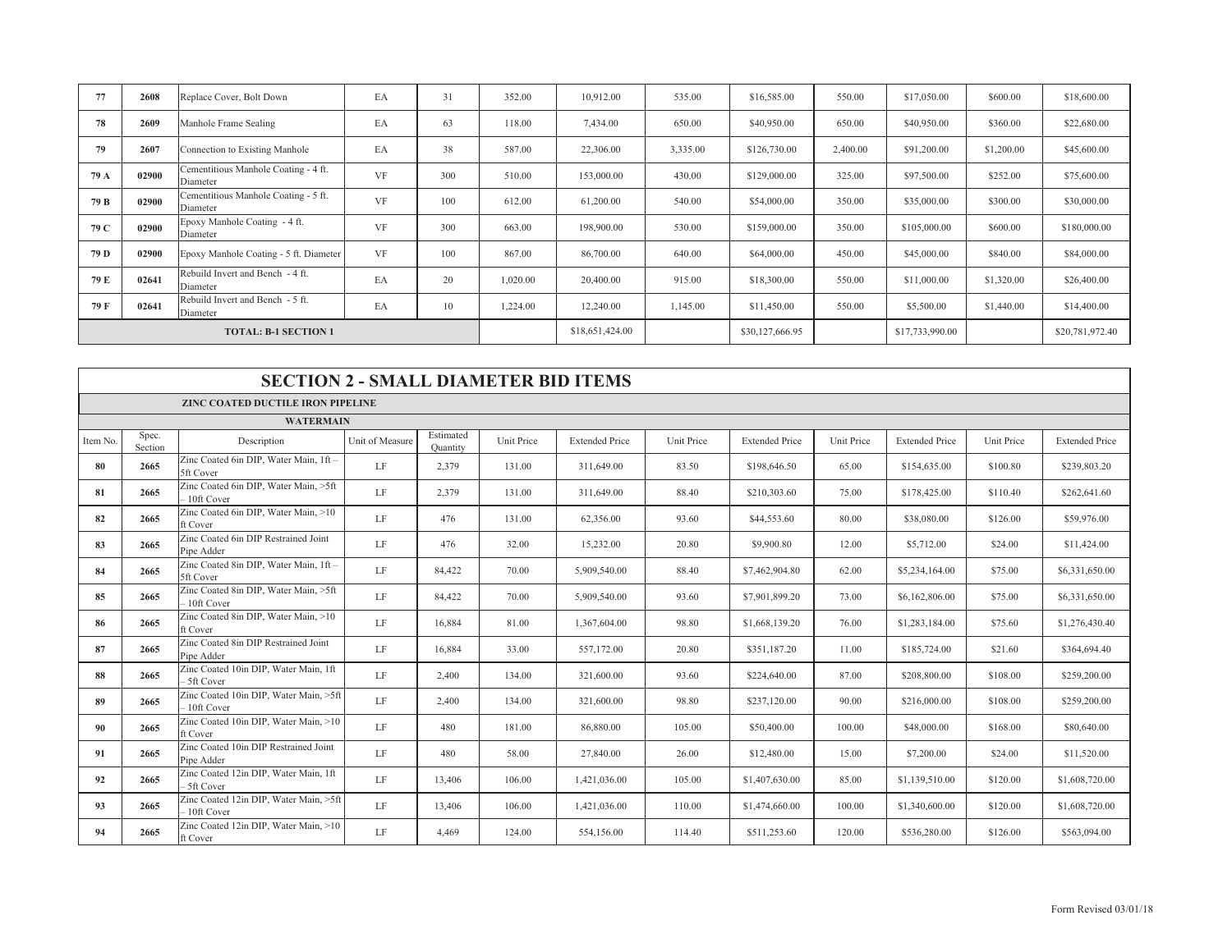| 77   | 2608  | Replace Cover, Bolt Down                         | EA        | 31  | 352.00   | 10,912.00       | 535.00   | \$16,585.00     | 550.00   | \$17,050.00     | \$600.00   | \$18,600.00     |
|------|-------|--------------------------------------------------|-----------|-----|----------|-----------------|----------|-----------------|----------|-----------------|------------|-----------------|
| 78   | 2609  | Manhole Frame Sealing                            | EA        | 63  | 118.00   | 7,434.00        | 650.00   | \$40,950.00     | 650.00   | \$40,950.00     | \$360.00   | \$22,680.00     |
| 79   | 2607  | Connection to Existing Manhole                   | EA        | 38  | 587.00   | 22,306.00       | 3,335.00 | \$126,730.00    | 2,400.00 | \$91,200.00     | \$1,200.00 | \$45,600.00     |
| 79 A | 02900 | Cementitious Manhole Coating - 4 ft.<br>Diameter | <b>VF</b> | 300 | 510.00   | 153,000.00      | 430.00   | \$129,000.00    | 325.00   | \$97,500.00     | \$252.00   | \$75,600.00     |
| 79 B | 02900 | Cementitious Manhole Coating - 5 ft.<br>Diameter | <b>VF</b> | 100 | 612.00   | 61,200.00       | 540.00   | \$54,000.00     | 350.00   | \$35,000.00     | \$300.00   | \$30,000.00     |
| 79 C | 02900 | Epoxy Manhole Coating - 4 ft.<br>Diameter        | <b>VF</b> | 300 | 663.00   | 198,900.00      | 530.00   | \$159,000.00    | 350.00   | \$105,000.00    | \$600.00   | \$180,000.00    |
| 79 D | 02900 | Epoxy Manhole Coating - 5 ft. Diameter           | <b>VF</b> | 100 | 867.00   | 86,700.00       | 640.00   | \$64,000.00     | 450.00   | \$45,000.00     | \$840.00   | \$84,000.00     |
| 79 E | 02641 | Rebuild Invert and Bench - 4 ft.<br>Diameter     | EA        | 20  | 1,020.00 | 20,400.00       | 915.00   | \$18,300.00     | 550.00   | \$11,000.00     | \$1,320.00 | \$26,400.00     |
| 79 F | 02641 | Rebuild Invert and Bench - 5 ft.<br>Diameter     | EA        | 10  | 1,224.00 | 12,240.00       | 1,145.00 | \$11,450.00     | 550.00   | \$5,500.00      | \$1,440.00 | \$14,400.00     |
|      |       | <b>TOTAL: B-1 SECTION 1</b>                      |           |     |          | \$18,651,424.00 |          | \$30,127,666.95 |          | \$17,733,990.00 |            | \$20,781,972.40 |

|          | <b>SECTION 2 - SMALL DIAMETER BID ITEMS</b> |                                                        |                 |                       |            |                       |            |                       |            |                       |            |                       |  |  |  |
|----------|---------------------------------------------|--------------------------------------------------------|-----------------|-----------------------|------------|-----------------------|------------|-----------------------|------------|-----------------------|------------|-----------------------|--|--|--|
|          |                                             | <b>ZINC COATED DUCTILE IRON PIPELINE</b>               |                 |                       |            |                       |            |                       |            |                       |            |                       |  |  |  |
|          |                                             | <b>WATERMAIN</b>                                       |                 |                       |            |                       |            |                       |            |                       |            |                       |  |  |  |
| Item No. | Spec.<br>Section                            | Description                                            | Unit of Measure | Estimated<br>Ouantity | Unit Price | <b>Extended Price</b> | Unit Price | <b>Extended Price</b> | Unit Price | <b>Extended Price</b> | Unit Price | <b>Extended Price</b> |  |  |  |
| 80       | 2665                                        | Zinc Coated 6in DIP, Water Main, 1ft -<br>5ft Cover    | LF              | 2,379                 | 131.00     | 311,649.00            | 83.50      | \$198,646.50          | 65.00      | \$154,635.00          | \$100.80   | \$239,803.20          |  |  |  |
| 81       | 2665                                        | Zinc Coated 6in DIP, Water Main, >5ft<br>- 10ft Cover  | LF              | 2,379                 | 131.00     | 311,649.00            | 88.40      | \$210,303.60          | 75.00      | \$178,425.00          | \$110.40   | \$262,641.60          |  |  |  |
| 82       | 2665                                        | Zinc Coated 6in DIP, Water Main, >10<br>ft Cover       | LF              | 476                   | 131.00     | 62,356.00             | 93.60      | \$44,553.60           | 80.00      | \$38,080.00           | \$126.00   | \$59,976.00           |  |  |  |
| 83       | 2665                                        | Zinc Coated 6in DIP Restrained Joint<br>Pipe Adder     | LF              | 476                   | 32.00      | 15,232.00             | 20.80      | \$9,900.80            | 12.00      | \$5,712.00            | \$24.00    | \$11,424.00           |  |  |  |
| 84       | 2665                                        | Zinc Coated 8in DIP, Water Main, 1ft -<br>5ft Cover    | LF              | 84,422                | 70.00      | 5,909,540.00          | 88.40      | \$7,462,904.80        | 62.00      | \$5,234,164.00        | \$75.00    | \$6,331,650.00        |  |  |  |
| 85       | 2665                                        | Zinc Coated 8in DIP, Water Main, >5ft<br>- 10ft Cover  | LF              | 84,422                | 70.00      | 5,909,540.00          | 93.60      | \$7,901,899.20        | 73.00      | \$6,162,806.00        | \$75.00    | \$6,331,650.00        |  |  |  |
| 86       | 2665                                        | Zinc Coated 8in DIP, Water Main, >10<br>ft Cover       | LF              | 16,884                | 81.00      | 1,367,604.00          | 98.80      | \$1,668,139.20        | 76.00      | \$1,283,184.00        | \$75.60    | \$1,276,430.40        |  |  |  |
| 87       | 2665                                        | Zinc Coated 8in DIP Restrained Joint<br>Pipe Adder     | LF              | 16,884                | 33.00      | 557,172.00            | 20.80      | \$351,187.20          | 11.00      | \$185,724.00          | \$21.60    | \$364,694.40          |  |  |  |
| 88       | 2665                                        | Zinc Coated 10in DIP, Water Main, 1ft<br>5ft Cover     | LF              | 2,400                 | 134.00     | 321,600.00            | 93.60      | \$224,640.00          | 87.00      | \$208,800.00          | \$108.00   | \$259,200.00          |  |  |  |
| 89       | 2665                                        | Zinc Coated 10in DIP, Water Main, >5ft<br>10ft Cover   | LF              | 2,400                 | 134.00     | 321,600.00            | 98.80      | \$237,120.00          | 90.00      | \$216,000.00          | \$108.00   | \$259,200.00          |  |  |  |
| 90       | 2665                                        | Zinc Coated 10in DIP, Water Main, >10<br>ft Cover      | LF              | 480                   | 181.00     | 86,880.00             | 105.00     | \$50,400.00           | 100.00     | \$48,000.00           | \$168.00   | \$80,640.00           |  |  |  |
| 91       | 2665                                        | Zinc Coated 10in DIP Restrained Joint<br>Pipe Adder    | LF              | 480                   | 58.00      | 27,840.00             | 26.00      | \$12,480.00           | 15.00      | \$7,200.00            | \$24.00    | \$11,520.00           |  |  |  |
| 92       | 2665                                        | Zinc Coated 12in DIP, Water Main, 1ft<br>5ft Cover     | LF              | 13,406                | 106.00     | 1,421,036.00          | 105.00     | \$1,407,630.00        | 85.00      | \$1,139,510.00        | \$120.00   | \$1,608,720.00        |  |  |  |
| 93       | 2665                                        | Zinc Coated 12in DIP, Water Main, >5ft<br>- 10ft Cover | LF              | 13,406                | 106.00     | 1,421,036.00          | 110.00     | \$1,474,660.00        | 100.00     | \$1,340,600.00        | \$120.00   | \$1,608,720.00        |  |  |  |
| 94       | 2665                                        | Zinc Coated 12in DIP, Water Main, >10<br>ft Cover      | LF              | 4.469                 | 124.00     | 554,156.00            | 114.40     | \$511,253.60          | 120.00     | \$536,280.00          | \$126.00   | \$563,094.00          |  |  |  |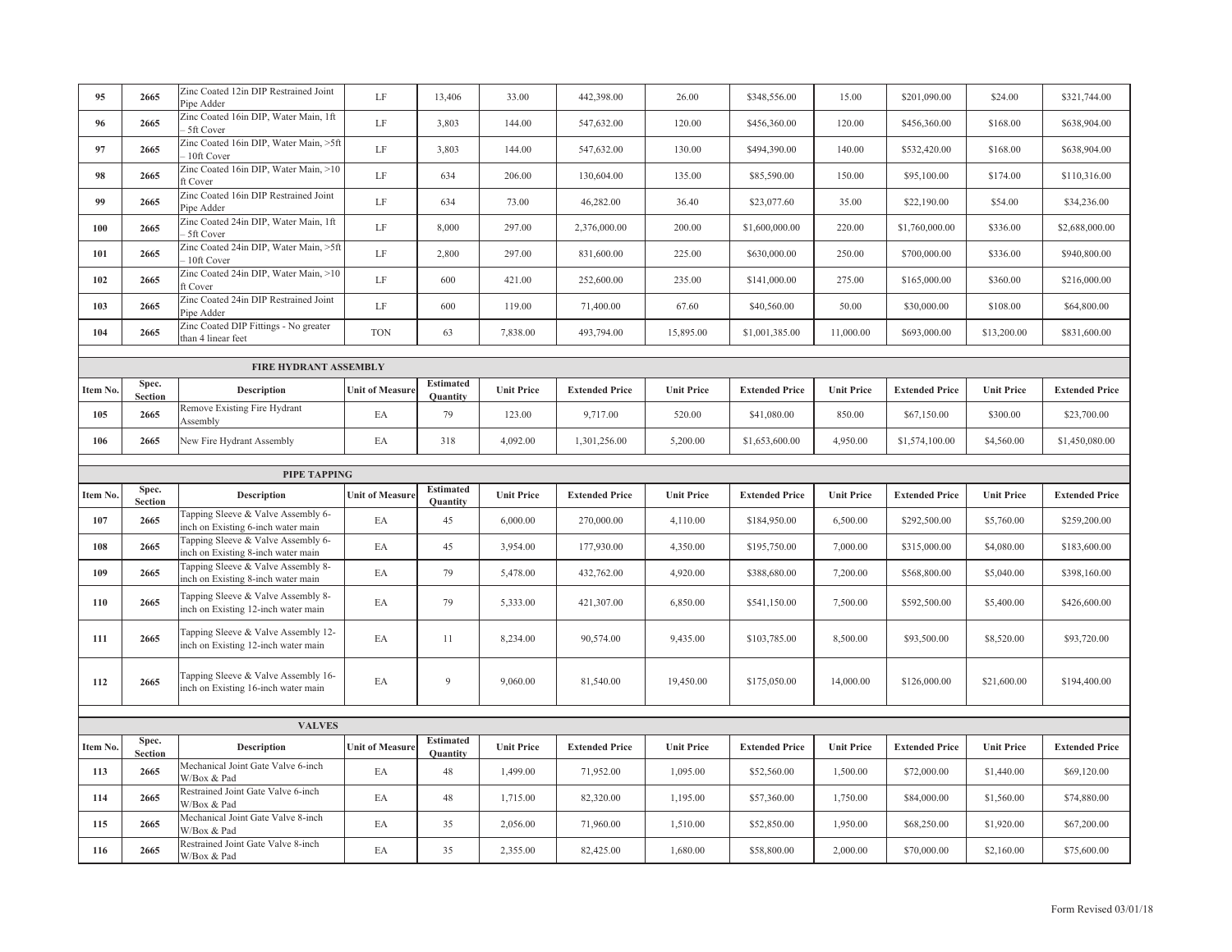| 95       | 2665                    | Zinc Coated 12in DIP Restrained Joint<br>Pipe Adder                        | LF                     | 13,406                              | 33.00             | 442,398.00            | 26.00             | \$348,556.00          | 15.00             | \$201,090.00          | \$24.00           | \$321,744.00          |
|----------|-------------------------|----------------------------------------------------------------------------|------------------------|-------------------------------------|-------------------|-----------------------|-------------------|-----------------------|-------------------|-----------------------|-------------------|-----------------------|
| 96       | 2665                    | Zinc Coated 16in DIP, Water Main, 1ft<br>5ft Cover                         | LF                     | 3,803                               | 144.00            | 547,632.00            | 120.00            | \$456,360.00          | 120.00            | \$456,360.00          | \$168.00          | \$638,904.00          |
| 97       | 2665                    | Zinc Coated 16in DIP, Water Main, >5ft<br>10ft Cover                       | LF                     | 3,803                               | 144.00            | 547,632.00            | 130.00            | \$494,390.00          | 140.00            | \$532,420.00          | \$168.00          | \$638,904.00          |
| 98       | 2665                    | Zinc Coated 16in DIP, Water Main, >10<br>ft Cover                          | LF                     | 634                                 | 206.00            | 130,604.00            | 135.00            | \$85,590.00           | 150.00            | \$95,100.00           | \$174.00          | \$110,316.00          |
| 99       | 2665                    | Zinc Coated 16in DIP Restrained Joint<br>Pipe Adder                        | LF                     | 634                                 | 73.00             | 46,282.00             | 36.40             | \$23,077.60           | 35.00             | \$22,190.00           | \$54.00           | \$34,236.00           |
| 100      | 2665                    | Zinc Coated 24in DIP, Water Main, 1ft<br>5ft Cover                         | $\rm LF$               | 8,000                               | 297.00            | 2,376,000.00          | 200.00            | \$1,600,000.00        | 220.00            | \$1,760,000.00        | \$336.00          | \$2,688,000.00        |
| 101      | 2665                    | Zinc Coated 24in DIP, Water Main, >5ft<br>10ft Cover                       | LF                     | 2,800                               | 297.00            | 831,600.00            | 225.00            | \$630,000.00          | 250.00            | \$700,000.00          | \$336.00          | \$940,800.00          |
| 102      | 2665                    | Zinc Coated 24in DIP, Water Main, >10<br>ft Cover                          | LF                     | 600                                 | 421.00            | 252,600.00            | 235.00            | \$141,000.00          | 275.00            | \$165,000.00          | \$360.00          | \$216,000.00          |
| 103      | 2665                    | Zinc Coated 24in DIP Restrained Joint<br>Pipe Adder                        | $\rm LF$               | 600                                 | 119.00            | 71,400.00             | 67.60             | \$40,560.00           | 50.00             | \$30,000.00           | \$108.00          | \$64,800.00           |
| 104      | 2665                    | Zinc Coated DIP Fittings - No greater<br>than 4 linear feet                | <b>TON</b>             | 63                                  | 7,838.00          | 493,794.00            | 15,895.00         | \$1,001,385.00        | 11,000.00         | \$693,000.00          | \$13,200.00       | \$831,600.00          |
|          |                         | <b>FIRE HYDRANT ASSEMBLY</b>                                               |                        |                                     |                   |                       |                   |                       |                   |                       |                   |                       |
| Item No. | Spec.<br><b>Section</b> | Description                                                                | <b>Unit of Measure</b> | <b>Estimated</b><br><b>Quantity</b> | <b>Unit Price</b> | <b>Extended Price</b> | <b>Unit Price</b> | <b>Extended Price</b> | <b>Unit Price</b> | <b>Extended Price</b> | <b>Unit Price</b> | <b>Extended Price</b> |
| 105      | 2665                    | Remove Existing Fire Hydrant<br>Assembly                                   | EA                     | 79                                  | 123.00            | 9,717.00              | 520.00            | \$41,080.00           | 850.00            | \$67,150.00           | \$300.00          | \$23,700.00           |
| 106      | 2665                    | New Fire Hydrant Assembly                                                  | EA                     | 318                                 | 4,092.00          | 1,301,256.00          | 5,200.00          | \$1,653,600.00        | 4,950.00          | \$1,574,100.00        | \$4,560.00        | \$1,450,080.00        |
|          |                         |                                                                            |                        |                                     |                   |                       |                   |                       |                   |                       |                   |                       |
|          |                         |                                                                            |                        |                                     |                   |                       |                   |                       |                   |                       |                   |                       |
|          |                         | PIPE TAPPING                                                               |                        |                                     |                   |                       |                   |                       |                   |                       |                   |                       |
| Item No. | Spec.<br><b>Section</b> | <b>Description</b>                                                         | <b>Unit of Measure</b> | <b>Estimated</b><br>Quantity        | <b>Unit Price</b> | <b>Extended Price</b> | <b>Unit Price</b> | <b>Extended Price</b> | <b>Unit Price</b> | <b>Extended Price</b> | <b>Unit Price</b> | <b>Extended Price</b> |
| 107      | 2665                    | Tapping Sleeve & Valve Assembly 6-<br>nch on Existing 6-inch water main    | EA                     | 45                                  | 6,000.00          | 270,000.00            | 4,110.00          | \$184,950.00          | 6,500.00          | \$292,500.00          | \$5,760.00        | \$259,200.00          |
| 108      | 2665                    | Tapping Sleeve & Valve Assembly 6-<br>nch on Existing 8-inch water main    | EA                     | 45                                  | 3,954.00          | 177,930.00            | 4,350.00          | \$195,750.00          | 7,000.00          | \$315,000.00          | \$4,080.00        | \$183,600.00          |
| 109      | 2665                    | Tapping Sleeve & Valve Assembly 8-<br>inch on Existing 8-inch water main   | EA                     | 79                                  | 5,478.00          | 432,762.00            | 4,920.00          | \$388,680.00          | 7,200.00          | \$568,800.00          | \$5,040.00        | \$398,160.00          |
| 110      | 2665                    | Tapping Sleeve & Valve Assembly 8-<br>inch on Existing 12-inch water main  | EA                     | 79                                  | 5,333.00          | 421,307.00            | 6,850.00          | \$541,150.00          | 7,500.00          | \$592,500.00          | \$5,400.00        | \$426,600.00          |
| 111      | 2665                    | Tapping Sleeve & Valve Assembly 12-<br>inch on Existing 12-inch water main | EA                     | 11                                  | 8,234.00          | 90,574.00             | 9,435.00          | \$103,785.00          | 8,500.00          | \$93,500.00           | \$8,520.00        | \$93,720.00           |
| 112      | 2665                    | Tapping Sleeve & Valve Assembly 16-<br>inch on Existing 16-inch water main | EA                     | 9                                   | 9,060.00          | 81,540.00             | 19,450.00         | \$175,050.00          | 14,000.00         | \$126,000.00          | \$21,600.00       | \$194,400.00          |
|          |                         |                                                                            |                        |                                     |                   |                       |                   |                       |                   |                       |                   |                       |
| Item No. | Spec.                   | <b>VALVES</b><br>Description                                               | <b>Unit of Measure</b> | <b>Estimated</b>                    | <b>Unit Price</b> | <b>Extended Price</b> | <b>Unit Price</b> | <b>Extended Price</b> | <b>Unit Price</b> | <b>Extended Price</b> | <b>Unit Price</b> | <b>Extended Price</b> |
| 113      | <b>Section</b><br>2665  | Mechanical Joint Gate Valve 6-inch                                         | EA                     | Quantity<br>48                      | 1,499.00          | 71,952.00             | 1,095.00          | \$52,560.00           | 1,500.00          | \$72,000.00           | \$1,440.00        | \$69,120.00           |
| 114      | 2665                    | W/Box & Pad<br>Restrained Joint Gate Valve 6-inch<br>W/Box & Pad           | EA                     | 48                                  | 1,715.00          | 82,320.00             | 1,195.00          | \$57,360.00           | 1,750.00          | \$84,000.00           | \$1,560.00        | \$74,880.00           |
| 115      | 2665                    | Mechanical Joint Gate Valve 8-inch<br>W/Box & Pad                          | EA                     | 35                                  | 2,056.00          | 71,960.00             | 1,510.00          | \$52,850.00           | 1,950.00          | \$68,250.00           | \$1,920.00        | \$67,200.00           |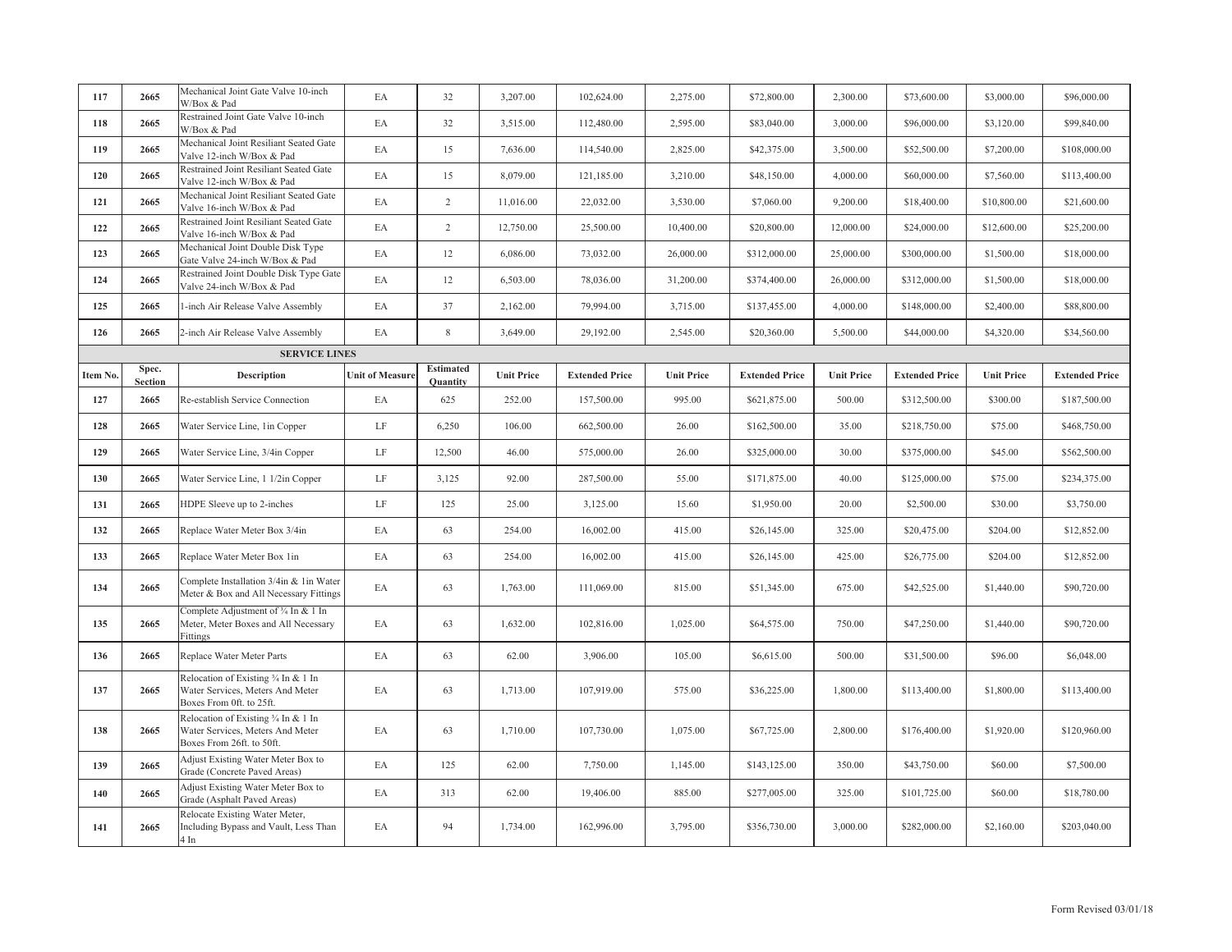| 117      | 2665                    | Mechanical Joint Gate Valve 10-inch<br>W/Box & Pad                                                    | EA                     | 32                           | 3,207.00          | 102,624.00            | 2,275.00          | \$72,800.00           | 2,300.00          | \$73,600.00           | \$3,000.00        | \$96,000.00           |
|----------|-------------------------|-------------------------------------------------------------------------------------------------------|------------------------|------------------------------|-------------------|-----------------------|-------------------|-----------------------|-------------------|-----------------------|-------------------|-----------------------|
| 118      | 2665                    | Restrained Joint Gate Valve 10-inch<br>W/Box & Pad                                                    | EA                     | 32                           | 3,515.00          | 112,480.00            | 2,595.00          | \$83,040.00           | 3,000.00          | \$96,000.00           | \$3,120.00        | \$99,840.00           |
| 119      | 2665                    | Mechanical Joint Resiliant Seated Gate<br>Valve 12-inch W/Box & Pad                                   | EA                     | 15                           | 7,636.00          | 114,540.00            | 2,825.00          | \$42,375.00           | 3,500.00          | \$52,500.00           | \$7,200.00        | \$108,000.00          |
| 120      | 2665                    | Restrained Joint Resiliant Seated Gate<br>Valve 12-inch W/Box & Pad                                   | EA                     | 15                           | 8,079.00          | 121,185.00            | 3,210.00          | \$48,150.00           | 4,000.00          | \$60,000.00           | \$7,560.00        | \$113,400.00          |
| 121      | 2665                    | Mechanical Joint Resiliant Seated Gate<br>Valve 16-inch W/Box & Pad                                   | EA                     | $\overline{2}$               | 11,016.00         | 22,032.00             | 3,530.00          | \$7,060.00            | 9,200.00          | \$18,400.00           | \$10,800.00       | \$21,600.00           |
| 122      | 2665                    | Restrained Joint Resiliant Seated Gate<br>Valve 16-inch W/Box & Pad                                   | EA                     | $\overline{c}$               | 12,750.00         | 25,500.00             | 10,400.00         | \$20,800.00           | 12,000.00         | \$24,000.00           | \$12,600.00       | \$25,200.00           |
| 123      | 2665                    | Mechanical Joint Double Disk Type<br>Gate Valve 24-inch W/Box & Pad                                   | EA                     | 12                           | 6,086.00          | 73,032.00             | 26,000.00         | \$312,000.00          | 25,000.00         | \$300,000.00          | \$1,500.00        | \$18,000.00           |
| 124      | 2665                    | Restrained Joint Double Disk Type Gate<br>Valve 24-inch W/Box & Pad                                   | EA                     | 12                           | 6,503.00          | 78,036.00             | 31,200.00         | \$374,400.00          | 26,000.00         | \$312,000.00          | \$1,500.00        | \$18,000.00           |
| 125      | 2665                    | 1-inch Air Release Valve Assembly                                                                     | EA                     | 37                           | 2,162.00          | 79,994.00             | 3,715.00          | \$137,455.00          | 4,000.00          | \$148,000.00          | \$2,400.00        | \$88,800.00           |
| 126      | 2665                    | 2-inch Air Release Valve Assembly                                                                     | EA                     | 8                            | 3,649.00          | 29,192.00             | 2,545.00          | \$20,360.00           | 5,500.00          | \$44,000.00           | \$4,320.00        | \$34,560.00           |
|          |                         | <b>SERVICE LINES</b>                                                                                  |                        |                              |                   |                       |                   |                       |                   |                       |                   |                       |
| Item No. | Spec.<br><b>Section</b> | Description                                                                                           | <b>Unit of Measure</b> | <b>Estimated</b><br>Quantity | <b>Unit Price</b> | <b>Extended Price</b> | <b>Unit Price</b> | <b>Extended Price</b> | <b>Unit Price</b> | <b>Extended Price</b> | <b>Unit Price</b> | <b>Extended Price</b> |
| 127      | 2665                    | Re-establish Service Connection                                                                       | EA                     | 625                          | 252.00            | 157,500.00            | 995.00            | \$621,875.00          | 500.00            | \$312,500.00          | \$300.00          | \$187,500.00          |
| 128      | 2665                    | Water Service Line, 1in Copper                                                                        | $\rm LF$               | 6,250                        | 106.00            | 662,500.00            | 26.00             | \$162,500.00          | 35.00             | \$218,750.00          | \$75.00           | \$468,750.00          |
| 129      | 2665                    | Water Service Line, 3/4in Copper                                                                      | LF                     | 12,500                       | 46.00             | 575,000.00            | 26.00             | \$325,000.00          | 30.00             | \$375,000.00          | \$45.00           | \$562,500.00          |
| 130      | 2665                    | Water Service Line, 1 1/2in Copper                                                                    | $\rm LF$               | 3,125                        | 92.00             | 287,500.00            | 55.00             | \$171,875.00          | 40.00             | \$125,000.00          | \$75.00           | \$234,375.00          |
| 131      | 2665                    | HDPE Sleeve up to 2-inches                                                                            | $\rm LF$               | 125                          | 25.00             | 3,125.00              | 15.60             | \$1,950.00            | 20.00             | \$2,500.00            | \$30.00           | \$3,750.00            |
| 132      | 2665                    | Replace Water Meter Box 3/4in                                                                         | EA                     | 63                           | 254.00            | 16,002.00             | 415.00            | \$26,145.00           | 325.00            | \$20,475.00           | \$204.00          | \$12,852.00           |
| 133      | 2665                    | Replace Water Meter Box 1in                                                                           | EA                     | 63                           | 254.00            | 16,002.00             | 415.00            | \$26,145.00           | 425.00            | \$26,775.00           | \$204.00          | \$12,852.00           |
| 134      | 2665                    | Complete Installation 3/4in & 1in Water<br>Meter & Box and All Necessary Fittings                     | EA                     | 63                           | 1,763.00          | 111,069.00            | 815.00            | \$51,345.00           | 675.00            | \$42,525.00           | \$1,440.00        | \$90,720.00           |
| 135      | 2665                    | Complete Adjustment of 3/4 In & 1 In<br>Meter, Meter Boxes and All Necessary<br>Fittings              | EA                     | 63                           | 1,632.00          | 102,816.00            | 1,025.00          | \$64,575.00           | 750.00            | \$47,250.00           | \$1,440.00        | \$90,720.00           |
| 136      | 2665                    | Replace Water Meter Parts                                                                             | EA                     | 63                           | 62.00             | 3,906.00              | 105.00            | \$6,615.00            | 500.00            | \$31,500.00           | \$96.00           | \$6,048.00            |
| 137      | 2665                    | Relocation of Existing 3/4 In & 1 In<br>Water Services, Meters And Meter<br>Boxes From 0ft. to 25ft.  | EA                     | 63                           | 1,713.00          | 107,919.00            | 575.00            | \$36,225.00           | 1,800.00          | \$113,400.00          | \$1,800.00        | \$113,400.00          |
| 138      | 2665                    | Relocation of Existing 3/4 In & 1 In<br>Water Services, Meters And Meter<br>Boxes From 26ft. to 50ft. | EA                     | 63                           | 1,710.00          | 107,730.00            | 1,075.00          | \$67,725.00           | 2,800.00          | \$176,400.00          | \$1,920.00        | \$120,960.00          |
| 139      | 2665                    | Adjust Existing Water Meter Box to<br>Grade (Concrete Paved Areas)                                    | EA                     | 125                          | 62.00             | 7,750.00              | 1,145.00          | \$143,125.00          | 350.00            | \$43,750.00           | \$60.00           | \$7,500.00            |
| 140      | 2665                    | Adjust Existing Water Meter Box to<br>Grade (Asphalt Paved Areas)                                     | EA                     | 313                          | 62.00             | 19,406.00             | 885.00            | \$277,005.00          | 325.00            | \$101,725.00          | \$60.00           | \$18,780.00           |
| 141      | 2665                    | Relocate Existing Water Meter,<br>Including Bypass and Vault, Less Than<br>4 In                       | EA                     | 94                           | 1,734.00          | 162,996.00            | 3,795.00          | \$356,730.00          | 3,000.00          | \$282,000.00          | \$2,160.00        | \$203,040.00          |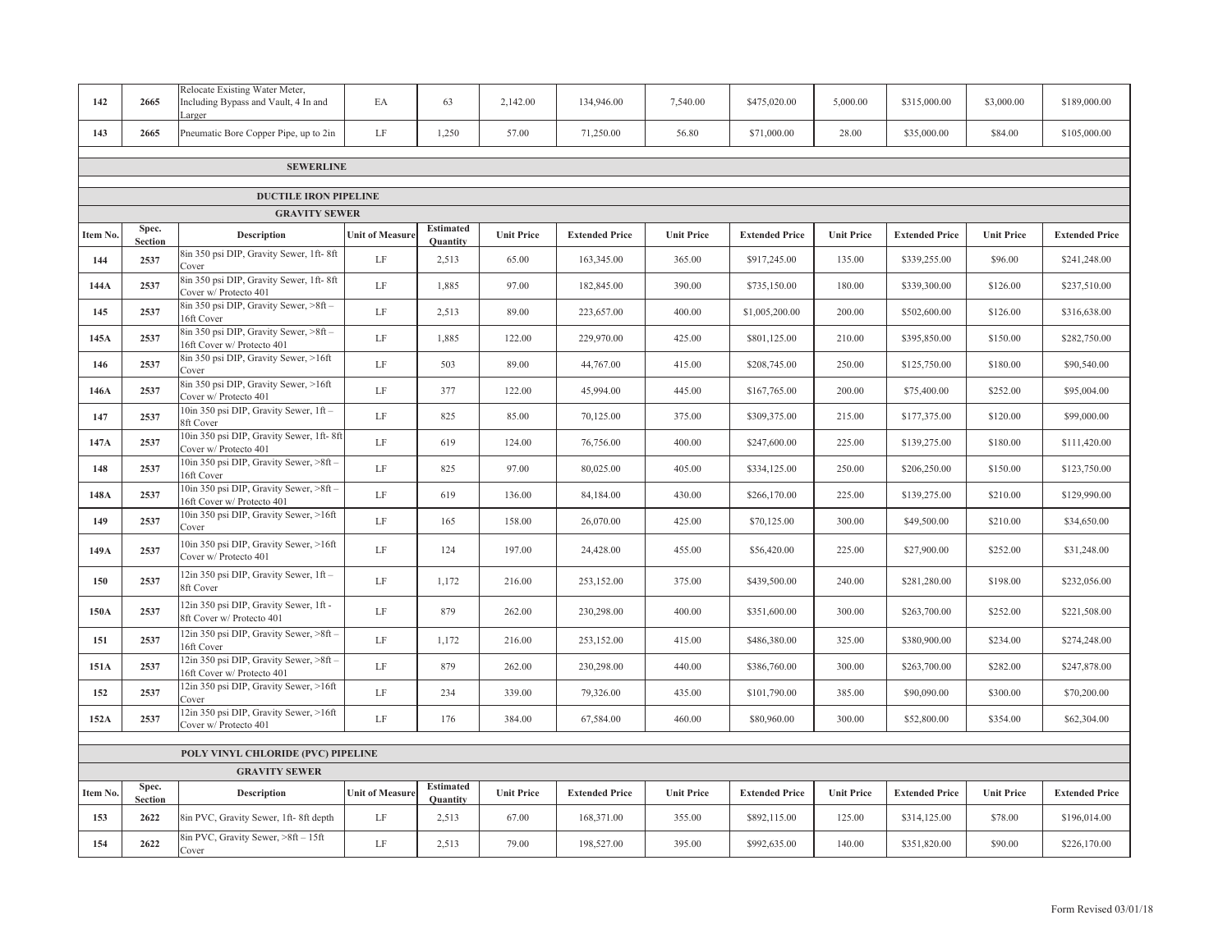| 142      | 2665                    | Relocate Existing Water Meter,<br>Including Bypass and Vault, 4 In and<br>arger | EA                     | 63                                  | 2,142.00          | 134,946.00            | 7,540.00          | \$475,020.00          | 5,000.00          | \$315,000.00          | \$3,000.00        | \$189,000.00          |
|----------|-------------------------|---------------------------------------------------------------------------------|------------------------|-------------------------------------|-------------------|-----------------------|-------------------|-----------------------|-------------------|-----------------------|-------------------|-----------------------|
| 143      | 2665                    | Pneumatic Bore Copper Pipe, up to 2in                                           | LF                     | 1,250                               | 57.00             | 71,250.00             | 56.80             | \$71,000.00           | 28.00             | \$35,000.00           | \$84.00           | \$105,000.00          |
|          |                         | <b>SEWERLINE</b>                                                                |                        |                                     |                   |                       |                   |                       |                   |                       |                   |                       |
|          |                         |                                                                                 |                        |                                     |                   |                       |                   |                       |                   |                       |                   |                       |
|          |                         | <b>DUCTILE IRON PIPELINE</b><br><b>GRAVITY SEWER</b>                            |                        |                                     |                   |                       |                   |                       |                   |                       |                   |                       |
| Item No. | Spec.<br><b>Section</b> | <b>Description</b>                                                              | <b>Unit of Measure</b> | <b>Estimated</b><br><b>Quantity</b> | <b>Unit Price</b> | <b>Extended Price</b> | <b>Unit Price</b> | <b>Extended Price</b> | <b>Unit Price</b> | <b>Extended Price</b> | <b>Unit Price</b> | <b>Extended Price</b> |
| 144      | 2537                    | 8in 350 psi DIP, Gravity Sewer, 1ft-8ft<br>Cover                                | $\rm LF$               | 2,513                               | 65.00             | 163,345.00            | 365.00            | \$917,245.00          | 135.00            | \$339,255.00          | \$96.00           | \$241,248.00          |
| 144A     | 2537                    | 8in 350 psi DIP, Gravity Sewer, 1ft-8ft<br>Cover w/ Protecto 401                | LF                     | 1,885                               | 97.00             | 182,845.00            | 390.00            | \$735,150.00          | 180.00            | \$339,300.00          | \$126.00          | \$237,510.00          |
| 145      | 2537                    | 8in 350 psi DIP, Gravity Sewer, >8ft -<br>16ft Cover                            | $\rm LF$               | 2,513                               | 89.00             | 223,657.00            | 400.00            | \$1,005,200.00        | 200.00            | \$502,600.00          | \$126.00          | \$316,638.00          |
| 145A     | 2537                    | 8in 350 psi DIP, Gravity Sewer, >8ft -<br>16ft Cover w/ Protecto 401            | LF                     | 1,885                               | 122.00            | 229,970.00            | 425.00            | \$801,125.00          | 210.00            | \$395,850.00          | \$150.00          | \$282,750.00          |
| 146      | 2537                    | 8in 350 psi DIP, Gravity Sewer, >16ft<br>Cover                                  | $\rm LF$               | 503                                 | 89.00             | 44,767.00             | 415.00            | \$208,745.00          | 250.00            | \$125,750.00          | \$180.00          | \$90,540.00           |
| 146A     | 2537                    | 8in 350 psi DIP, Gravity Sewer, >16ft<br>Cover w/ Protecto 401                  | $\rm LF$               | 377                                 | 122.00            | 45,994.00             | 445.00            | \$167,765.00          | 200.00            | \$75,400.00           | \$252.00          | \$95,004.00           |
| 147      | 2537                    | 10in 350 psi DIP, Gravity Sewer, 1ft-<br>8ft Cover                              | $\rm LF$               | 825                                 | 85.00             | 70,125.00             | 375.00            | \$309,375.00          | 215.00            | \$177,375.00          | \$120.00          | \$99,000.00           |
| 147A     | 2537                    | 10in 350 psi DIP, Gravity Sewer, 1ft-8ft<br>Cover w/ Protecto 401               | LF                     | 619                                 | 124.00            | 76,756.00             | 400.00            | \$247,600.00          | 225.00            | \$139,275.00          | \$180.00          | \$111,420.00          |
| 148      | 2537                    | 10in 350 psi DIP, Gravity Sewer, >8ft -<br>6ft Cover                            | $\rm LF$               | 825                                 | 97.00             | 80,025.00             | 405.00            | \$334,125.00          | 250.00            | \$206,250.00          | \$150.00          | \$123,750.00          |
| 148A     | 2537                    | 10in 350 psi DIP, Gravity Sewer, >8ft -<br>6ft Cover w/ Protecto 401            | LF                     | 619                                 | 136.00            | 84,184.00             | 430.00            | \$266,170.00          | 225.00            | \$139,275.00          | \$210.00          | \$129,990.00          |
| 149      | 2537                    | 10in 350 psi DIP, Gravity Sewer, >16ft<br>Cover                                 | $\rm LF$               | 165                                 | 158.00            | 26,070.00             | 425.00            | \$70,125.00           | 300.00            | \$49,500.00           | \$210.00          | \$34,650.00           |
| 149A     | 2537                    | 10in 350 psi DIP, Gravity Sewer, >16ft<br>Cover w/ Protecto 401                 | LF                     | 124                                 | 197.00            | 24,428.00             | 455.00            | \$56,420.00           | 225.00            | \$27,900.00           | \$252.00          | \$31,248.00           |
| 150      | 2537                    | 12in 350 psi DIP, Gravity Sewer, 1ft -<br>8ft Cover                             | LF                     | 1,172                               | 216.00            | 253,152.00            | 375.00            | \$439,500.00          | 240.00            | \$281,280.00          | \$198.00          | \$232,056.00          |
| 150A     | 2537                    | 12in 350 psi DIP, Gravity Sewer, 1ft -<br>8ft Cover w/ Protecto 401             | LF                     | 879                                 | 262.00            | 230,298.00            | 400.00            | \$351,600.00          | 300.00            | \$263,700.00          | \$252.00          | \$221,508.00          |
| 151      | 2537                    | 12in 350 psi DIP, Gravity Sewer, >8ft -<br>6ft Cover                            | LF                     | 1,172                               | 216.00            | 253,152.00            | 415.00            | \$486,380.00          | 325.00            | \$380,900.00          | \$234.00          | \$274,248.00          |
| 151A     | 2537                    | 12in 350 psi DIP, Gravity Sewer, >8ft -<br>6ft Cover w/ Protecto 401            | $\rm LF$               | 879                                 | 262.00            | 230,298.00            | 440.00            | \$386,760.00          | 300.00            | \$263,700.00          | \$282.00          | \$247,878.00          |
| 152      | 2537                    | 2in 350 psi DIP, Gravity Sewer, >16ft<br>Cover                                  | $\rm LF$               | 234                                 | 339.00            | 79,326.00             | 435.00            | \$101,790.00          | 385.00            | \$90,090.00           | \$300.00          | \$70,200.00           |
| 152A     | 2537                    | 12in 350 psi DIP, Gravity Sewer, >16ft<br>Cover w/ Protecto 401                 | LF                     | 176                                 | 384.00            | 67,584.00             | 460.00            | \$80,960.00           | 300.00            | \$52,800.00           | \$354.00          | \$62,304.00           |
|          |                         | POLY VINYL CHLORIDE (PVC) PIPELINE                                              |                        |                                     |                   |                       |                   |                       |                   |                       |                   |                       |
|          |                         | <b>GRAVITY SEWER</b>                                                            |                        |                                     |                   |                       |                   |                       |                   |                       |                   |                       |
| Item No. | Spec.<br><b>Section</b> | Description                                                                     | <b>Unit of Measure</b> | <b>Estimated</b><br>Quantity        | <b>Unit Price</b> | <b>Extended Price</b> | <b>Unit Price</b> | <b>Extended Price</b> | <b>Unit Price</b> | <b>Extended Price</b> | <b>Unit Price</b> | <b>Extended Price</b> |
| 153      | 2622                    | 8in PVC, Gravity Sewer, 1ft-8ft depth                                           | $\rm LF$               | 2,513                               | 67.00             | 168,371.00            | 355.00            | \$892,115.00          | 125.00            | \$314,125.00          | \$78.00           | \$196,014.00          |
| 154      | 2622                    | 8in PVC, Gravity Sewer, >8ft - 15ft<br>Cover                                    | LF                     | 2,513                               | 79.00             | 198,527.00            | 395.00            | \$992,635.00          | 140.00            | \$351,820.00          | \$90.00           | \$226,170.00          |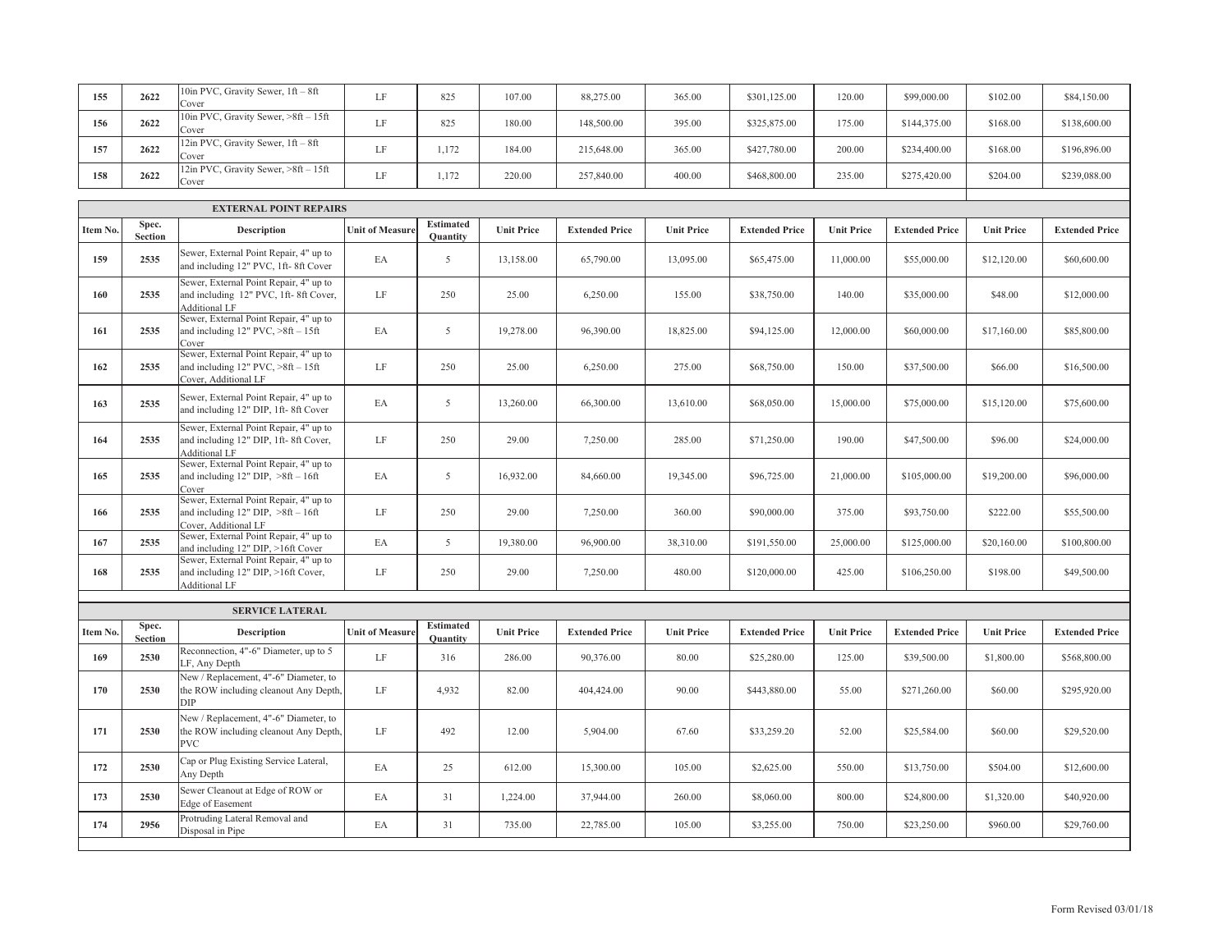| 155 | 2622 | 10in PVC, Gravity Sewer, 1ft - 8ft<br>Cover      | ĹF | 825   | 107.00 | 88,275.00  | 365.00 | \$301,125.00 | 120.00 | \$99,000.00  | \$102.00 | \$84,150.00  |
|-----|------|--------------------------------------------------|----|-------|--------|------------|--------|--------------|--------|--------------|----------|--------------|
| 156 | 2622 | 10in PVC, Gravity Sewer, $>8ft - 15ft$<br>Cover  | ĹF | 825   | 180.00 | 148,500.00 | 395.00 | \$325,875.00 | 175.00 | \$144,375.00 | \$168.00 | \$138,600.00 |
| 157 | 2622 | $12$ in PVC, Gravity Sewer, $1ft - 8ft$<br>Cover | ĹF | 1.172 | 184.00 | 215,648.00 | 365.00 | \$427,780.00 | 200.00 | \$234,400.00 | \$168.00 | \$196,896.00 |
| 158 | 2622 | 12in PVC, Gravity Sewer, >8ft - 15ft<br>Cover    | ĹF | 1.172 | 220.00 | 257,840.00 | 400.00 | \$468,800.00 | 235.00 | \$275,420.00 | \$204.00 | \$239,088.00 |

|          |                         | <b>EXTERNAL POINT REPAIRS</b>                                                                            |                        |                                     |                   |                       |                   |                       |                   |                       |                   |                       |
|----------|-------------------------|----------------------------------------------------------------------------------------------------------|------------------------|-------------------------------------|-------------------|-----------------------|-------------------|-----------------------|-------------------|-----------------------|-------------------|-----------------------|
| Item No. | Spec.<br>Section        | <b>Description</b>                                                                                       | <b>Unit of Measure</b> | <b>Estimated</b><br><b>Ouantity</b> | <b>Unit Price</b> | <b>Extended Price</b> | <b>Unit Price</b> | <b>Extended Price</b> | <b>Unit Price</b> | <b>Extended Price</b> | <b>Unit Price</b> | <b>Extended Price</b> |
| 159      | 2535                    | Sewer, External Point Repair, 4" up to<br>and including 12" PVC, 1ft-8ft Cover                           | EA                     | 5                                   | 13,158.00         | 65,790.00             | 13,095.00         | \$65,475.00           | 11,000.00         | \$55,000.00           | \$12,120.00       | \$60,600.00           |
| 160      | 2535                    | Sewer, External Point Repair, 4" up to<br>and including 12" PVC, 1ft-8ft Cover,<br><b>Additional LF</b>  | $\rm LF$               | 250                                 | 25.00             | 6,250.00              | 155.00            | \$38,750.00           | 140.00            | \$35,000.00           | \$48.00           | \$12,000.00           |
| 161      | 2535                    | Sewer, External Point Repair, 4" up to<br>and including $12"$ PVC, $>8ft - 15ft$<br>Cover                | EA                     | 5                                   | 19,278.00         | 96,390.00             | 18,825.00         | \$94,125.00           | 12,000.00         | \$60,000.00           | \$17,160.00       | \$85,800.00           |
| 162      | 2535                    | Sewer, External Point Repair, 4" up to<br>and including $12"$ PVC, $>8ft - 15ft$<br>Cover, Additional LF | LF                     | 250                                 | 25.00             | 6,250.00              | 275.00            | \$68,750.00           | 150.00            | \$37,500.00           | \$66.00           | \$16,500.00           |
| 163      | 2535                    | Sewer, External Point Repair, 4" up to<br>and including 12" DIP, 1ft-8ft Cover                           | EA                     | 5                                   | 13,260.00         | 66,300.00             | 13,610.00         | \$68,050.00           | 15,000.00         | \$75,000.00           | \$15,120.00       | \$75,600.00           |
| 164      | 2535                    | Sewer, External Point Repair, 4" up to<br>and including 12" DIP, 1ft-8ft Cover,<br><b>Additional LF</b>  | LF                     | 250                                 | 29.00             | 7,250.00              | 285.00            | \$71,250.00           | 190.00            | \$47,500.00           | \$96.00           | \$24,000.00           |
| 165      | 2535                    | Sewer, External Point Repair, 4" up to<br>and including $12"$ DIP, $>8ft - 16ft$<br>Cover                | EA                     | 5                                   | 16,932.00         | 84,660.00             | 19,345.00         | \$96,725.00           | 21,000.00         | \$105,000.00          | \$19,200.00       | \$96,000.00           |
| 166      | 2535                    | Sewer, External Point Repair, 4" up to<br>and including $12"$ DIP, $>8ft - 16ft$<br>Cover, Additional LF | LF                     | 250                                 | 29.00             | 7,250.00              | 360.00            | \$90,000.00           | 375.00            | \$93,750.00           | \$222.00          | \$55,500.00           |
| 167      | 2535                    | Sewer, External Point Repair, 4" up to<br>and including 12" DIP, >16ft Cover                             | EA                     | 5                                   | 19,380.00         | 96,900.00             | 38,310.00         | \$191,550.00          | 25,000.00         | \$125,000.00          | \$20,160.00       | \$100,800.00          |
| 168      | 2535                    | Sewer, External Point Repair, 4" up to<br>and including 12" DIP, >16ft Cover,<br>Additional LF           | LF                     | 250                                 | 29.00             | 7,250.00              | 480.00            | \$120,000.00          | 425.00            | \$106,250.00          | \$198.00          | \$49,500.00           |
|          |                         | <b>SERVICE LATERAL</b>                                                                                   |                        |                                     |                   |                       |                   |                       |                   |                       |                   |                       |
| Item No. | Spec.<br><b>Section</b> | <b>Description</b>                                                                                       | <b>Unit of Measure</b> | <b>Estimated</b><br><b>Ouantity</b> | <b>Unit Price</b> | <b>Extended Price</b> | <b>Unit Price</b> | <b>Extended Price</b> | <b>Unit Price</b> | <b>Extended Price</b> | <b>Unit Price</b> | <b>Extended Price</b> |
| 169      | 2530                    | Reconnection, 4"-6" Diameter, up to 5<br>LF, Any Depth                                                   | $\rm LF$               | 316                                 | 286.00            | 90,376.00             | 80.00             | \$25,280.00           | 125.00            | \$39,500.00           | \$1,800.00        | \$568,800.00          |
| 170      | 2530                    | New / Replacement, 4"-6" Diameter, to<br>the ROW including cleanout Any Depth,<br>DIP                    | LF                     | 4,932                               | 82.00             | 404,424.00            | 90.00             | \$443,880.00          | 55.00             | \$271,260.00          | \$60.00           | \$295,920.00          |
| 171      | 2530                    | New / Replacement, 4"-6" Diameter, to<br>the ROW including cleanout Any Depth,<br><b>PVC</b>             | LF                     | 492                                 | 12.00             | 5,904.00              | 67.60             | \$33,259.20           | 52.00             | \$25,584.00           | \$60.00           | \$29,520.00           |
| 172      | 2530                    | Cap or Plug Existing Service Lateral,<br>Any Depth                                                       | EA                     | 25                                  | 612.00            | 15,300.00             | 105.00            | \$2,625.00            | 550.00            | \$13,750.00           | \$504.00          | \$12,600.00           |
| 173      | 2530                    | Sewer Cleanout at Edge of ROW or<br>Edge of Easement                                                     | EA                     | 31                                  | 1,224.00          | 37,944.00             | 260.00            | \$8,060.00            | 800.00            | \$24,800.00           | \$1,320.00        | \$40,920.00           |
| 174      | 2956                    | Protruding Lateral Removal and<br>Disposal in Pipe                                                       | EA                     | 31                                  | 735.00            | 22,785.00             | 105.00            | \$3,255.00            | 750.00            | \$23,250.00           | \$960.00          | \$29,760.00           |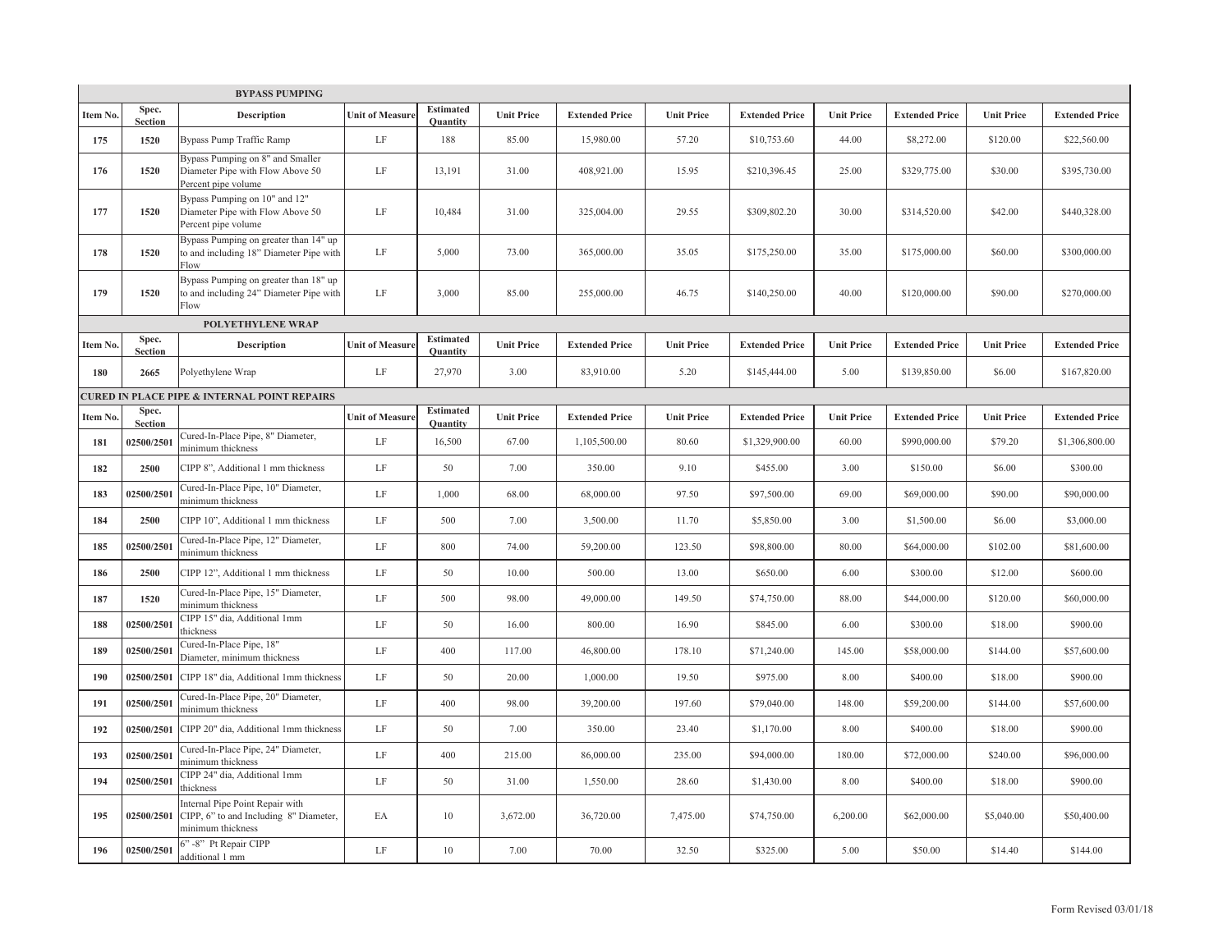|                |                         | <b>BYPASS PUMPING</b>                                                                          |                        |                                     |                   |                       |                   |                       |                   |                       |                   |                       |
|----------------|-------------------------|------------------------------------------------------------------------------------------------|------------------------|-------------------------------------|-------------------|-----------------------|-------------------|-----------------------|-------------------|-----------------------|-------------------|-----------------------|
| <b>Item No</b> | Spec.<br><b>Section</b> | <b>Description</b>                                                                             | <b>Unit of Measure</b> | <b>Estimated</b><br><b>Ouantity</b> | <b>Unit Price</b> | <b>Extended Price</b> | <b>Unit Price</b> | <b>Extended Price</b> | <b>Unit Price</b> | <b>Extended Price</b> | <b>Unit Price</b> | <b>Extended Price</b> |
| 175            | 1520                    | Bypass Pump Traffic Ramp                                                                       | LF                     | 188                                 | 85.00             | 15,980.00             | 57.20             | \$10,753.60           | 44.00             | \$8,272.00            | \$120.00          | \$22,560.00           |
| 176            | 1520                    | Bypass Pumping on 8" and Smaller<br>Diameter Pipe with Flow Above 50<br>Percent pipe volume    | LF                     | 13,191                              | 31.00             | 408,921.00            | 15.95             | \$210,396.45          | 25.00             | \$329,775.00          | \$30.00           | \$395,730.00          |
| 177            | 1520                    | Bypass Pumping on 10" and 12"<br>Diameter Pipe with Flow Above 50<br>Percent pipe volume       | LF                     | 10,484                              | 31.00             | 325,004.00            | 29.55             | \$309,802.20          | 30.00             | \$314,520.00          | \$42.00           | \$440,328.00          |
| 178            | 1520                    | Bypass Pumping on greater than 14" up<br>to and including 18" Diameter Pipe with<br>Flow       | LF                     | 5,000                               | 73.00             | 365,000.00            | 35.05             | \$175,250.00          | 35.00             | \$175,000.00          | \$60.00           | \$300,000.00          |
| 179            | 1520                    | Bypass Pumping on greater than 18" up<br>to and including 24" Diameter Pipe with<br>Flow       | LF                     | 3,000                               | 85.00             | 255,000.00            | 46.75             | \$140,250.00          | 40.00             | \$120,000.00          | \$90.00           | \$270,000.00          |
|                |                         | POLYETHYLENE WRAP                                                                              |                        |                                     |                   |                       |                   |                       |                   |                       |                   |                       |
| Item No.       | Spec.<br><b>Section</b> | <b>Description</b>                                                                             | <b>Unit of Measure</b> | <b>Estimated</b><br><b>Ouantity</b> | <b>Unit Price</b> | <b>Extended Price</b> | <b>Unit Price</b> | <b>Extended Price</b> | <b>Unit Price</b> | <b>Extended Price</b> | <b>Unit Price</b> | <b>Extended Price</b> |
| 180            | 2665                    | Polyethylene Wrap                                                                              | LF                     | 27,970                              | 3.00              | 83,910.00             | 5.20              | \$145,444.00          | 5.00              | \$139,850.00          | \$6.00            | \$167,820.00          |
|                |                         | <b>CURED IN PLACE PIPE &amp; INTERNAL POINT REPAIRS</b>                                        |                        |                                     |                   |                       |                   |                       |                   |                       |                   |                       |
| Item No.       | Spec.<br>Section        |                                                                                                | <b>Unit of Measure</b> | <b>Estimated</b><br>Quantity        | <b>Unit Price</b> | <b>Extended Price</b> | <b>Unit Price</b> | <b>Extended Price</b> | <b>Unit Price</b> | <b>Extended Price</b> | <b>Unit Price</b> | <b>Extended Price</b> |
| 181            | 02500/2501              | Cured-In-Place Pipe, 8" Diameter,<br>minimum thickness                                         | LF                     | 16,500                              | 67.00             | 1,105,500.00          | 80.60             | \$1,329,900.00        | 60.00             | \$990,000.00          | \$79.20           | \$1,306,800.00        |
| 182            | 2500                    | CIPP 8", Additional 1 mm thickness                                                             | LF                     | 50                                  | 7.00              | 350.00                | 9.10              | \$455.00              | 3.00              | \$150.00              | \$6.00            | \$300.00              |
| 183            | 02500/2501              | Cured-In-Place Pipe, 10" Diameter,<br>minimum thickness                                        | LF                     | 1,000                               | 68.00             | 68,000.00             | 97.50             | \$97,500.00           | 69.00             | \$69,000.00           | \$90.00           | \$90,000.00           |
| 184            | 2500                    | CIPP 10", Additional 1 mm thickness                                                            | LF                     | 500                                 | 7.00              | 3,500.00              | 11.70             | \$5,850.00            | 3.00              | \$1,500.00            | \$6.00            | \$3,000.00            |
| 185            | 02500/2501              | Cured-In-Place Pipe, 12" Diameter,<br>minimum thickness                                        | LF                     | 800                                 | 74.00             | 59,200.00             | 123.50            | \$98,800.00           | 80.00             | \$64,000.00           | \$102.00          | \$81,600.00           |
| 186            | 2500                    | CIPP 12", Additional 1 mm thickness                                                            | LF                     | 50                                  | 10.00             | 500.00                | 13.00             | \$650.00              | 6.00              | \$300.00              | \$12.00           | \$600.00              |
| 187            | 1520                    | Cured-In-Place Pipe, 15" Diameter,<br>minimum thickness                                        | LF                     | 500                                 | 98.00             | 49,000.00             | 149.50            | \$74,750.00           | 88.00             | \$44,000.00           | \$120.00          | \$60,000.00           |
| 188            | 02500/2501              | CIPP 15" dia, Additional 1mm<br>thickness                                                      | LF                     | 50                                  | 16.00             | 800.00                | 16.90             | \$845.00              | 6.00              | \$300.00              | \$18.00           | \$900.00              |
| 189            | 02500/2501              | Cured-In-Place Pipe, 18"<br>Diameter, minimum thickness                                        | LF                     | 400                                 | 117.00            | 46,800.00             | 178.10            | \$71,240.00           | 145.00            | \$58,000.00           | \$144.00          | \$57,600.00           |
| 190            | 02500/2501              | CIPP 18" dia, Additional 1mm thickness                                                         | LF                     | 50                                  | 20.00             | 1,000.00              | 19.50             | \$975.00              | 8.00              | \$400.00              | \$18.00           | \$900.00              |
| 191            | 02500/2501              | Cured-In-Place Pipe, 20" Diameter,<br>minimum thickness                                        | LF                     | 400                                 | 98.00             | 39,200.00             | 197.60            | \$79,040.00           | 148.00            | \$59,200.00           | \$144.00          | \$57,600.00           |
| 192            | 02500/2501              | CIPP 20" dia, Additional 1mm thickness                                                         | LF                     | 50                                  | 7.00              | 350.00                | 23.40             | \$1,170.00            | 8.00              | \$400.00              | \$18.00           | \$900.00              |
| 193            | 02500/2501              | Cured-In-Place Pipe, 24" Diameter,<br>minimum thickness                                        | LF                     | 400                                 | 215.00            | 86,000.00             | 235.00            | \$94,000.00           | 180.00            | \$72,000.00           | \$240.00          | \$96,000.00           |
| 194            | 02500/2501              | CIPP 24" dia, Additional 1mm<br>thickness                                                      | LF                     | 50                                  | 31.00             | 1,550.00              | 28.60             | \$1,430.00            | 8.00              | \$400.00              | \$18.00           | \$900.00              |
| 195            | 02500/2501              | Internal Pipe Point Repair with<br>CIPP, 6" to and Including 8" Diameter,<br>minimum thickness | EA                     | 10                                  | 3,672.00          | 36,720.00             | 7,475.00          | \$74,750.00           | 6,200.00          | \$62,000.00           | \$5,040.00        | \$50,400.00           |
| 196            | 02500/2501              | 6" -8" Pt Repair CIPP<br>additional 1 mm                                                       | LF                     | $10\,$                              | 7.00              | 70.00                 | 32.50             | \$325.00              | 5.00              | \$50.00               | \$14.40           | \$144.00              |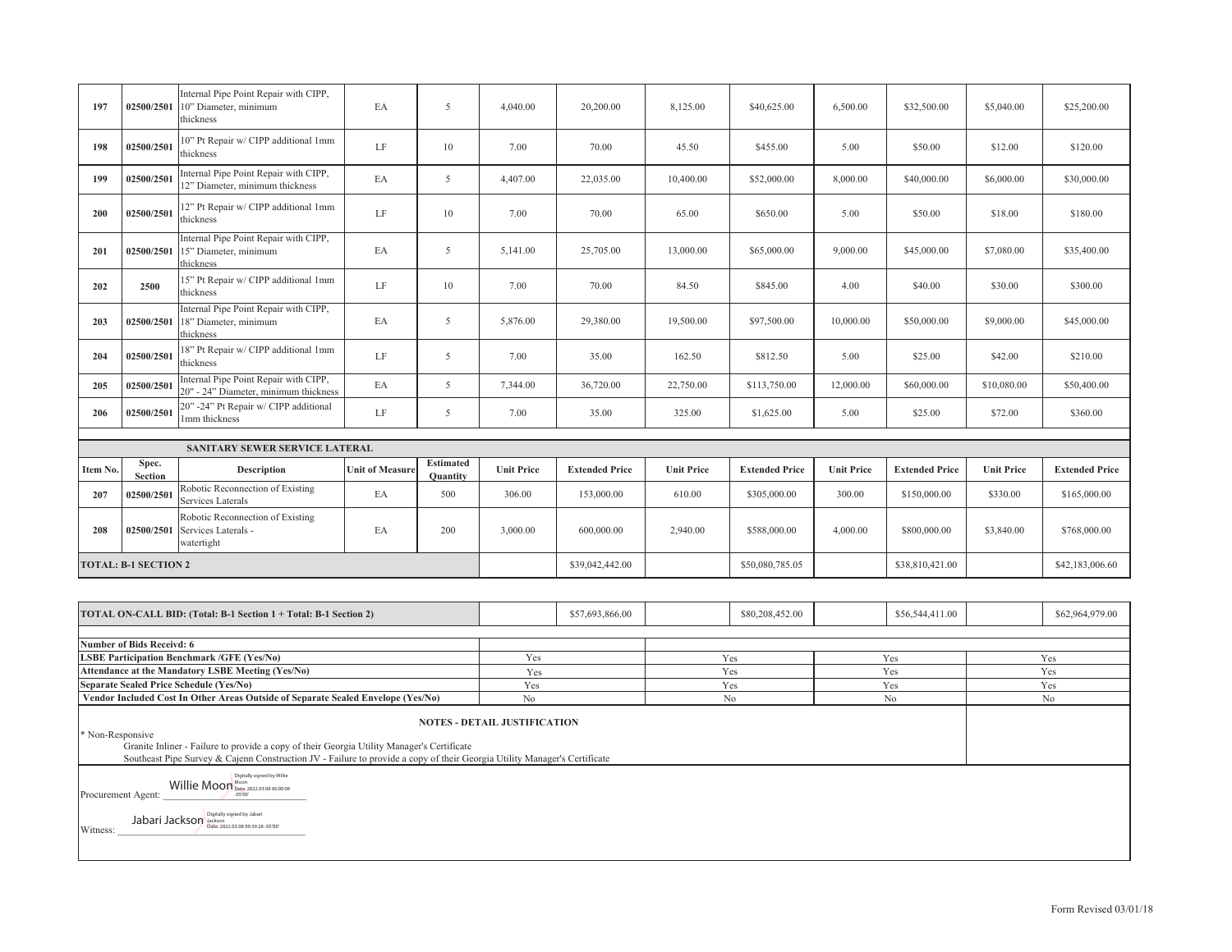| 197              | 02500/2501                                                                                                                                                                                                                                                                                                                                                                                                                                                                                                                                                                                                                                                                                                                                                                                                        | Internal Pipe Point Repair with CIPP,<br>10" Diameter, minimum<br>thickness      | EA                     | 5                                   | 4,040.00                            | 20,200.00             | 8,125.00          | \$40,625.00           | 6,500.00          | \$32,500.00           | \$5,040.00        | \$25,200.00           |  |
|------------------|-------------------------------------------------------------------------------------------------------------------------------------------------------------------------------------------------------------------------------------------------------------------------------------------------------------------------------------------------------------------------------------------------------------------------------------------------------------------------------------------------------------------------------------------------------------------------------------------------------------------------------------------------------------------------------------------------------------------------------------------------------------------------------------------------------------------|----------------------------------------------------------------------------------|------------------------|-------------------------------------|-------------------------------------|-----------------------|-------------------|-----------------------|-------------------|-----------------------|-------------------|-----------------------|--|
| 198              | 02500/2501                                                                                                                                                                                                                                                                                                                                                                                                                                                                                                                                                                                                                                                                                                                                                                                                        | 10" Pt Repair w/ CIPP additional 1mm<br>thickness                                | LF                     | 10                                  | 7.00                                | 70.00                 | 45.50             | \$455.00              | 5.00              | \$50.00               | \$12.00           | \$120.00              |  |
| 199              | 02500/2501                                                                                                                                                                                                                                                                                                                                                                                                                                                                                                                                                                                                                                                                                                                                                                                                        | Internal Pipe Point Repair with CIPP,<br>12" Diameter, minimum thickness         | EA                     | 5                                   | 4,407.00                            | 22,035.00             | 10,400.00         | \$52,000.00           | 8,000.00          | \$40,000.00           | \$6,000.00        | \$30,000.00           |  |
| 200              | 02500/2501                                                                                                                                                                                                                                                                                                                                                                                                                                                                                                                                                                                                                                                                                                                                                                                                        | 12" Pt Repair w/ CIPP additional 1mm<br>thickness                                | LF                     | 10                                  | 7.00                                | 70.00                 | 65.00             | \$650.00              | 5.00              | \$50.00               | \$18.00           | \$180.00              |  |
| 201              | 02500/2501                                                                                                                                                                                                                                                                                                                                                                                                                                                                                                                                                                                                                                                                                                                                                                                                        | Internal Pipe Point Repair with CIPP,<br>15" Diameter, minimum<br>thickness      | EA                     | 5                                   | 5,141.00                            | 25,705.00             | 13,000.00         | \$65,000.00           | 9,000.00          | \$45,000.00           | \$7,080.00        | \$35,400.00           |  |
| 202              | 2500                                                                                                                                                                                                                                                                                                                                                                                                                                                                                                                                                                                                                                                                                                                                                                                                              | 15" Pt Repair w/ CIPP additional 1mm<br>thickness                                | LF                     | 10                                  | 7.00                                | 70.00                 | 84.50             | \$845.00              | 4.00              | \$40.00               | \$30.00           | \$300.00              |  |
| 203              | 02500/2501                                                                                                                                                                                                                                                                                                                                                                                                                                                                                                                                                                                                                                                                                                                                                                                                        | Internal Pipe Point Repair with CIPP,<br>18" Diameter, minimum<br>thickness      | EA                     | 5                                   | 5,876.00                            | 29,380.00             | 19,500.00         | \$97,500.00           | 10,000.00         | \$50,000.00           | \$9,000.00        | \$45,000.00           |  |
| 204              | 02500/2501                                                                                                                                                                                                                                                                                                                                                                                                                                                                                                                                                                                                                                                                                                                                                                                                        | 18" Pt Repair w/ CIPP additional 1mm<br>thickness                                | LF                     | 5                                   | 7.00                                | 35.00                 | 162.50            | \$812.50              | 5.00              | \$25.00               | \$42.00           | \$210.00              |  |
| 205              | 02500/2501                                                                                                                                                                                                                                                                                                                                                                                                                                                                                                                                                                                                                                                                                                                                                                                                        | Internal Pipe Point Repair with CIPP,<br>20" - 24" Diameter, minimum thickness   | EA                     | $\mathfrak{S}$                      | 7,344.00                            | 36,720.00             | 22,750.00         | \$113,750.00          | 12,000.00         | \$60,000.00           | \$10,080.00       | \$50,400.00           |  |
| 206              | 02500/2501                                                                                                                                                                                                                                                                                                                                                                                                                                                                                                                                                                                                                                                                                                                                                                                                        | 20" -24" Pt Repair w/ CIPP additional<br>1mm thickness                           | LF                     | 5                                   | 7.00                                | 35.00                 | 325.00            | \$1,625.00            | 5.00              | \$25.00               | \$72.00           | \$360.00              |  |
|                  |                                                                                                                                                                                                                                                                                                                                                                                                                                                                                                                                                                                                                                                                                                                                                                                                                   |                                                                                  |                        |                                     |                                     |                       |                   |                       |                   |                       |                   |                       |  |
|                  |                                                                                                                                                                                                                                                                                                                                                                                                                                                                                                                                                                                                                                                                                                                                                                                                                   | SANITARY SEWER SERVICE LATERAL                                                   |                        |                                     |                                     |                       |                   |                       |                   |                       |                   |                       |  |
| Item No.         | Spec.<br><b>Section</b>                                                                                                                                                                                                                                                                                                                                                                                                                                                                                                                                                                                                                                                                                                                                                                                           | Description                                                                      | <b>Unit of Measure</b> | <b>Estimated</b><br><b>Quantity</b> | <b>Unit Price</b>                   | <b>Extended Price</b> | <b>Unit Price</b> | <b>Extended Price</b> | <b>Unit Price</b> | <b>Extended Price</b> | <b>Unit Price</b> | <b>Extended Price</b> |  |
| 207              | 02500/2501                                                                                                                                                                                                                                                                                                                                                                                                                                                                                                                                                                                                                                                                                                                                                                                                        | Robotic Reconnection of Existing<br>Services Laterals                            | EA                     | 500                                 | 306.00                              | 153,000.00            | 610.00            | \$305,000.00          | 300.00            | \$150,000.00          | \$330.00          | \$165,000.00          |  |
| 208              | 02500/2501                                                                                                                                                                                                                                                                                                                                                                                                                                                                                                                                                                                                                                                                                                                                                                                                        | Robotic Reconnection of Existing<br>Services Laterals -<br>watertight            | EA                     | 200                                 | 3,000.00                            | 600,000.00            | 2,940.00          | \$588,000.00          | 4,000.00          | \$800,000.00          | \$3,840.00        | \$768,000.00          |  |
|                  | <b>TOTAL: B-1 SECTION 2</b>                                                                                                                                                                                                                                                                                                                                                                                                                                                                                                                                                                                                                                                                                                                                                                                       |                                                                                  |                        |                                     |                                     | \$39,042,442.00       |                   | \$50,080,785.05       |                   | \$38,810,421.00       |                   | \$42,183,006.60       |  |
|                  |                                                                                                                                                                                                                                                                                                                                                                                                                                                                                                                                                                                                                                                                                                                                                                                                                   |                                                                                  |                        |                                     |                                     |                       |                   |                       |                   |                       |                   |                       |  |
|                  |                                                                                                                                                                                                                                                                                                                                                                                                                                                                                                                                                                                                                                                                                                                                                                                                                   | TOTAL ON-CALL BID: (Total: B-1 Section 1 + Total: B-1 Section 2)                 |                        |                                     |                                     | \$57,693,866.00       |                   | \$80,208,452.00       |                   | \$56,544,411.00       |                   | \$62,964,979.00       |  |
|                  | <b>Number of Bids Receivd: 6</b>                                                                                                                                                                                                                                                                                                                                                                                                                                                                                                                                                                                                                                                                                                                                                                                  |                                                                                  |                        |                                     |                                     |                       |                   |                       |                   |                       |                   |                       |  |
|                  |                                                                                                                                                                                                                                                                                                                                                                                                                                                                                                                                                                                                                                                                                                                                                                                                                   | <b>LSBE Participation Benchmark /GFE (Yes/No)</b>                                |                        |                                     | Yes                                 |                       |                   | Yes                   |                   | Yes                   |                   | Yes                   |  |
|                  |                                                                                                                                                                                                                                                                                                                                                                                                                                                                                                                                                                                                                                                                                                                                                                                                                   | Attendance at the Mandatory LSBE Meeting (Yes/No)                                |                        |                                     | Yes                                 |                       |                   | Yes                   |                   | Yes                   |                   | Yes                   |  |
|                  |                                                                                                                                                                                                                                                                                                                                                                                                                                                                                                                                                                                                                                                                                                                                                                                                                   | <b>Separate Sealed Price Schedule (Yes/No)</b>                                   |                        |                                     | Yes                                 |                       |                   | Yes                   |                   | Yes                   |                   | Yes                   |  |
|                  |                                                                                                                                                                                                                                                                                                                                                                                                                                                                                                                                                                                                                                                                                                                                                                                                                   | Vendor Included Cost In Other Areas Outside of Separate Sealed Envelope (Yes/No) |                        |                                     | No                                  |                       |                   | $\rm No$              |                   | $\rm No$              |                   | No                    |  |
| * Non-Responsive |                                                                                                                                                                                                                                                                                                                                                                                                                                                                                                                                                                                                                                                                                                                                                                                                                   |                                                                                  |                        |                                     | <b>NOTES - DETAIL JUSTIFICATION</b> |                       |                   |                       |                   |                       |                   |                       |  |
| Witness:         | Granite Inliner - Failure to provide a copy of their Georgia Utility Manager's Certificate<br>Southeast Pipe Survey & Cajenn Construction JV - Failure to provide a copy of their Georgia Utility Manager's Certificate<br>Digitally signed by Willie<br>Willie Moon Moon<br>Procurement Agent:<br>$-05'00'$<br>Digitally signed by Jabari<br>${\bf Jabari}\ {\bf Jackson} \begin{bmatrix} \frac{1}{\sqrt{3}} & \frac{1}{\sqrt{3}} \\ \frac{1}{\sqrt{3}} & \frac{1}{\sqrt{3}} \\ \frac{1}{\sqrt{3}} & \frac{1}{\sqrt{3}} \end{bmatrix} \begin{bmatrix} \frac{1}{\sqrt{3}} & \frac{1}{\sqrt{3}} \\ \frac{1}{\sqrt{3}} & \frac{1}{\sqrt{3}} \\ \frac{1}{\sqrt{3}} & \frac{1}{\sqrt{3}} \end{bmatrix} \begin{bmatrix} \frac{1}{\sqrt{3}} & \frac{1}{\sqrt{3}} \\ \frac{1}{\sqrt{3}} & \frac{1}{\sqrt{3}} \\ \frac{1$ |                                                                                  |                        |                                     |                                     |                       |                   |                       |                   |                       |                   |                       |  |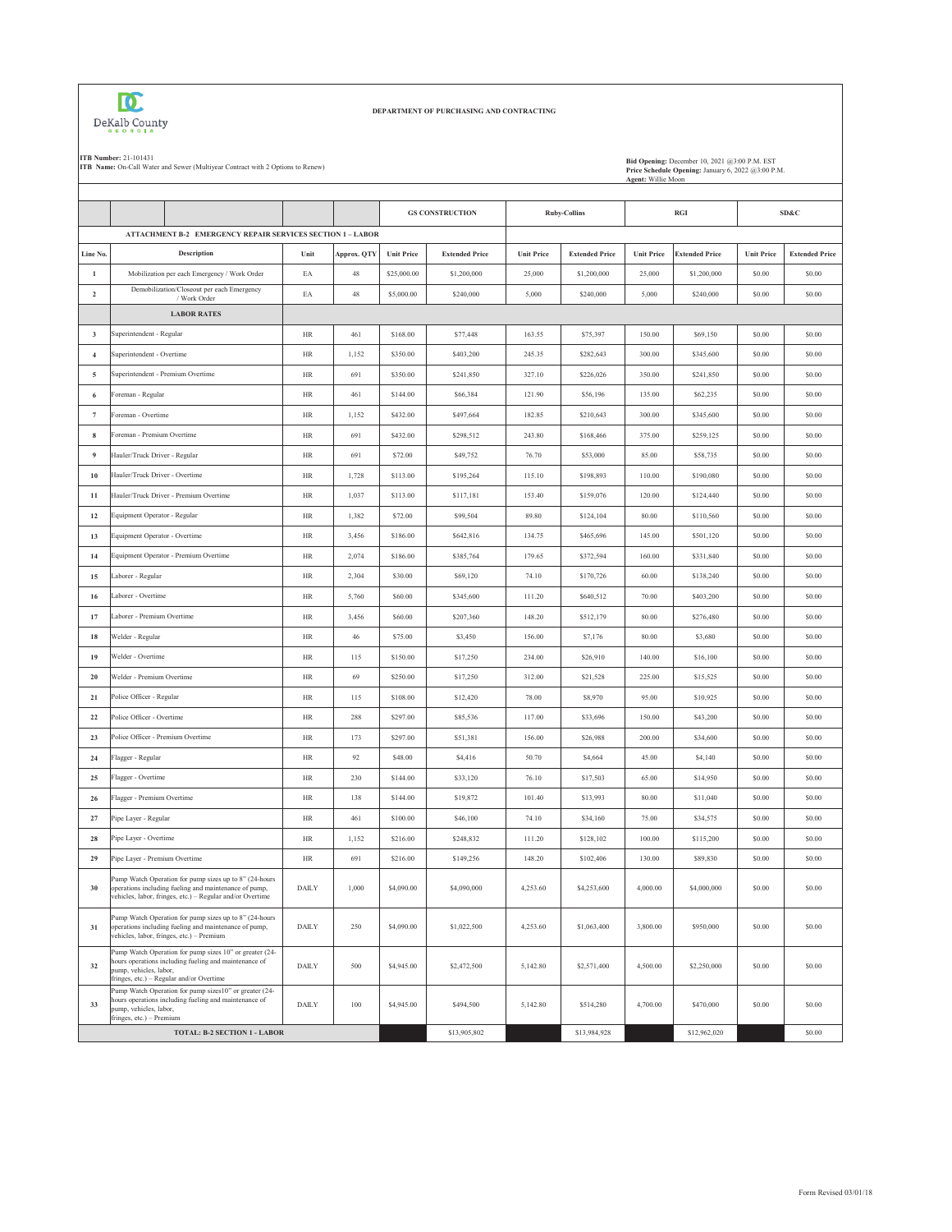

## **DEPARTMENT OF PURCHASING AND CONTRACTING**

**ITB Number: 21-101431**<br>**ITB Name: On-Call Water and Sewer (Multiyear Contract with 2 Options to Renew) Bid Opening: December 2009 December 10, 2009 December 10, 2009 December 10, 2009 December 10, 2009 Decembe Price Schedule Opening:** January 6, 2022 @3:00 P.M. **Agent:** Willie Moon

|                         |                                                                                                                                                                                        |              |             |                   | <b>GS CONSTRUCTION</b> | <b>Ruby-Collins</b> |                       |                   | <b>RGI</b>            |                   | SD&C                  |
|-------------------------|----------------------------------------------------------------------------------------------------------------------------------------------------------------------------------------|--------------|-------------|-------------------|------------------------|---------------------|-----------------------|-------------------|-----------------------|-------------------|-----------------------|
|                         | ATTACHMENT B-2 EMERGENCY REPAIR SERVICES SECTION 1 - LABOR                                                                                                                             |              |             |                   |                        |                     |                       |                   |                       |                   |                       |
| Line No.                | Description                                                                                                                                                                            | Unit         | Approx. QTY | <b>Unit Price</b> | <b>Extended Price</b>  | <b>Unit Price</b>   | <b>Extended Price</b> | <b>Unit Price</b> | <b>Extended Price</b> | <b>Unit Price</b> | <b>Extended Price</b> |
| $\mathbf{1}$            | Mobilization per each Emergency / Work Order                                                                                                                                           | EA           | $48\,$      | \$25,000.00       | \$1,200,000            | 25,000              | \$1,200,000           | 25,000            | \$1,200,000           | \$0.00            | \$0.00                |
| $\overline{2}$          | Demobilization/Closeout per each Emergency<br>/ Work Order                                                                                                                             | EA           | 48          | \$5,000.00        | \$240,000              | 5,000               | \$240,000             | 5,000             | \$240,000             | \$0.00            | \$0.00                |
|                         | <b>LABOR RATES</b>                                                                                                                                                                     |              |             |                   |                        |                     |                       |                   |                       |                   |                       |
| $\overline{\mathbf{3}}$ | Superintendent - Regular                                                                                                                                                               | HR           | 461         | \$168.00          | \$77,448               | 163.55              | \$75,397              | 150.00            | \$69,150              | \$0.00            | \$0.00                |
| $\overline{4}$          | Superintendent - Overtime                                                                                                                                                              | <b>HR</b>    | 1,152       | \$350.00          | \$403,200              | 245.35              | \$282,643             | 300.00            | \$345,600             | \$0.00            | \$0.00                |
| $\sqrt{5}$              | Superintendent - Premium Overtime                                                                                                                                                      | $\rm{HR}$    | 691         | \$350.00          | \$241,850              | 327.10              | \$226,026             | 350.00            | \$241,850             | \$0.00            | \$0.00                |
| 6                       | Foreman - Regular                                                                                                                                                                      | HR           | 461         | \$144.00          | \$66,384               | 121.90              | \$56,196              | 135.00            | \$62,235              | \$0.00            | \$0.00                |
| $\overline{7}$          | Foreman - Overtime                                                                                                                                                                     | HR           | 1,152       | \$432.00          | \$497,664              | 182.85              | \$210,643             | 300.00            | \$345,600             | \$0.00            | \$0.00                |
| $\bf8$                  | Foreman - Premium Overtime                                                                                                                                                             | $\rm{HR}$    | 691         | \$432.00          | \$298,512              | 243.80              | \$168,466             | 375.00            | \$259,125             | \$0.00            | \$0.00                |
| 9                       | Hauler/Truck Driver - Regular                                                                                                                                                          | HR           | 691         | \$72.00           | \$49,752               | 76.70               | \$53,000              | 85.00             | \$58,735              | \$0.00            | \$0.00                |
| 10                      | Hauler/Truck Driver - Overtime                                                                                                                                                         | HR           | 1,728       | \$113.00          | \$195,264              | 115.10              | \$198,893             | 110.00            | \$190,080             | \$0.00            | \$0.00                |
| 11                      | Hauler/Truck Driver - Premium Overtime                                                                                                                                                 | HR           | 1,037       | \$113.00          | \$117,181              | 153.40              | \$159,076             | 120.00            | \$124,440             | \$0.00            | \$0.00                |
| 12                      | Equipment Operator - Regular                                                                                                                                                           | HR           | 1,382       | \$72.00           | \$99,504               | 89.80               | \$124,104             | 80.00             | \$110,560             | \$0.00            | \$0.00                |
| 13                      | Equipment Operator - Overtime                                                                                                                                                          | $\rm{HR}$    | 3,456       | \$186.00          | \$642,816              | 134.75              | \$465,696             | 145.00            | \$501,120             | \$0.00            | \$0.00                |
| 14                      | Equipment Operator - Premium Overtime                                                                                                                                                  | HR           | 2,074       | \$186.00          | \$385,764              | 179.65              | \$372,594             | 160.00            | \$331,840             | \$0.00            | \$0.00                |
| 15                      | Laborer - Regular                                                                                                                                                                      | $\rm{HR}$    | 2,304       | \$30.00           | \$69,120               | 74.10               | \$170,726             | 60.00             | \$138,240             | \$0.00            | \$0.00                |
| 16                      | Laborer - Overtime                                                                                                                                                                     | HR           | 5,760       | \$60.00           | \$345,600              | 111.20              | \$640,512             | 70.00             | \$403,200             | \$0.00            | \$0.00                |
| 17                      | Laborer - Premium Overtime                                                                                                                                                             | HR           | 3,456       | \$60.00           | \$207,360              | 148.20              | \$512,179             | 80.00             | \$276,480             | \$0.00            | \$0.00                |
| 18                      | Welder - Regular                                                                                                                                                                       | HR           | 46          | \$75.00           | \$3,450                | 156.00              | \$7,176               | 80.00             | \$3,680               | \$0.00            | \$0.00                |
| 19                      | Welder - Overtime                                                                                                                                                                      | $\rm{HR}$    | 115         | \$150.00          | \$17,250               | 234.00              | \$26,910              | 140.00            | \$16,100              | \$0.00            | \$0.00                |
| 20                      | Welder - Premium Overtime                                                                                                                                                              | HR           | 69          | \$250.00          | \$17,250               | 312.00              | \$21,528              | 225.00            | \$15,525              | \$0.00            | \$0.00                |
| 21                      | Police Officer - Regular                                                                                                                                                               | HR           | 115         | \$108.00          | \$12,420               | 78.00               | \$8,970               | 95.00             | \$10,925              | \$0.00            | \$0.00                |
| 22                      | Police Officer - Overtime                                                                                                                                                              | HR           | 288         | \$297.00          | \$85,536               | 117.00              | \$33,696              | 150.00            | \$43,200              | \$0.00            | \$0.00                |
| 23                      | Police Officer - Premium Overtime                                                                                                                                                      | <b>HR</b>    | 173         | \$297.00          | \$51,381               | 156.00              | \$26,988              | 200.00            | \$34,600              | \$0.00            | \$0.00                |
| 24                      | Flagger - Regular                                                                                                                                                                      | <b>HR</b>    | 92          | \$48.00           | \$4,416                | 50.70               | \$4,664               | 45.00             | \$4,140               | \$0.00            | \$0.00                |
| 25                      | Flagger - Overtime                                                                                                                                                                     | HR           | 230         | \$144.00          | \$33,120               | 76.10               | \$17,503              | 65.00             | \$14,950              | \$0.00            | \$0.00                |
| 26                      | Flagger - Premium Overtime                                                                                                                                                             | HR           | 138         | \$144.00          | \$19,872               | 101.40              | \$13,993              | 80.00             | \$11,040              | \$0.00            | \$0.00                |
| 27                      | Pipe Layer - Regular                                                                                                                                                                   | $\rm{HR}$    | 461         | \$100.00          | \$46,100               | 74.10               | \$34,160              | 75.00             | \$34,575              | \$0.00            | \$0.00                |
| 28                      | Pipe Layer - Overtime                                                                                                                                                                  | HR           | 1,152       | \$216.00          | \$248,832              | 111.20              | \$128,102             | 100.00            | \$115,200             | \$0.00            | \$0.00                |
| 29                      | Pipe Layer - Premium Overtime                                                                                                                                                          | HR           | 691         | \$216.00          | \$149,256              | 148.20              | \$102,406             | 130.00            | \$89,830              | \$0.00            | \$0.00                |
| 30                      | Pump Watch Operation for pump sizes up to 8" (24-hours<br>operations including fueling and maintenance of pump,<br>vehicles, labor, fringes, etc.) - Regular and/or Overtime           | DAILY        | 1,000       | \$4,090.00        | \$4,090,000            | 4,253.60            | \$4,253,600           | 4,000.00          | \$4,000,000           | \$0.00            | \$0.00                |
| 31                      | Pump Watch Operation for pump sizes up to 8" (24-hours<br>operations including fueling and maintenance of pump,<br>vehicles, labor, fringes, etc.) - Premium                           | <b>DAILY</b> | 250         | \$4,090.00        | \$1,022,500            | 4,253.60            | \$1,063,400           | 3,800.00          | \$950,000             | \$0.00            | \$0.00                |
| 32                      | Pump Watch Operation for pump sizes 10" or greater (24-<br>hours operations including fueling and maintenance of<br>pump, vehicles, labor,<br>fringes, etc.) - Regular and/or Overtime | DAILY        | 500         | \$4,945.00        | \$2,472,500            | 5,142.80            | \$2,571,400           | 4,500.00          | \$2,250,000           | \$0.00            | \$0.00                |
| 33                      | Pump Watch Operation for pump sizes 10" or greater (24-<br>hours operations including fueling and maintenance of<br>pump, vehicles, labor,<br>fringes, etc.) - Premium                 | <b>DAILY</b> | 100         | \$4,945.00        | \$494,500              | 5,142.80            | \$514,280             | 4,700.00          | \$470,000             | \$0.00            | \$0.00                |
|                         | TOTAL: B-2 SECTION 1 - LABOR                                                                                                                                                           |              |             |                   | \$13,905,802           |                     | \$13,984,928          |                   | \$12,962,020          |                   | \$0.00                |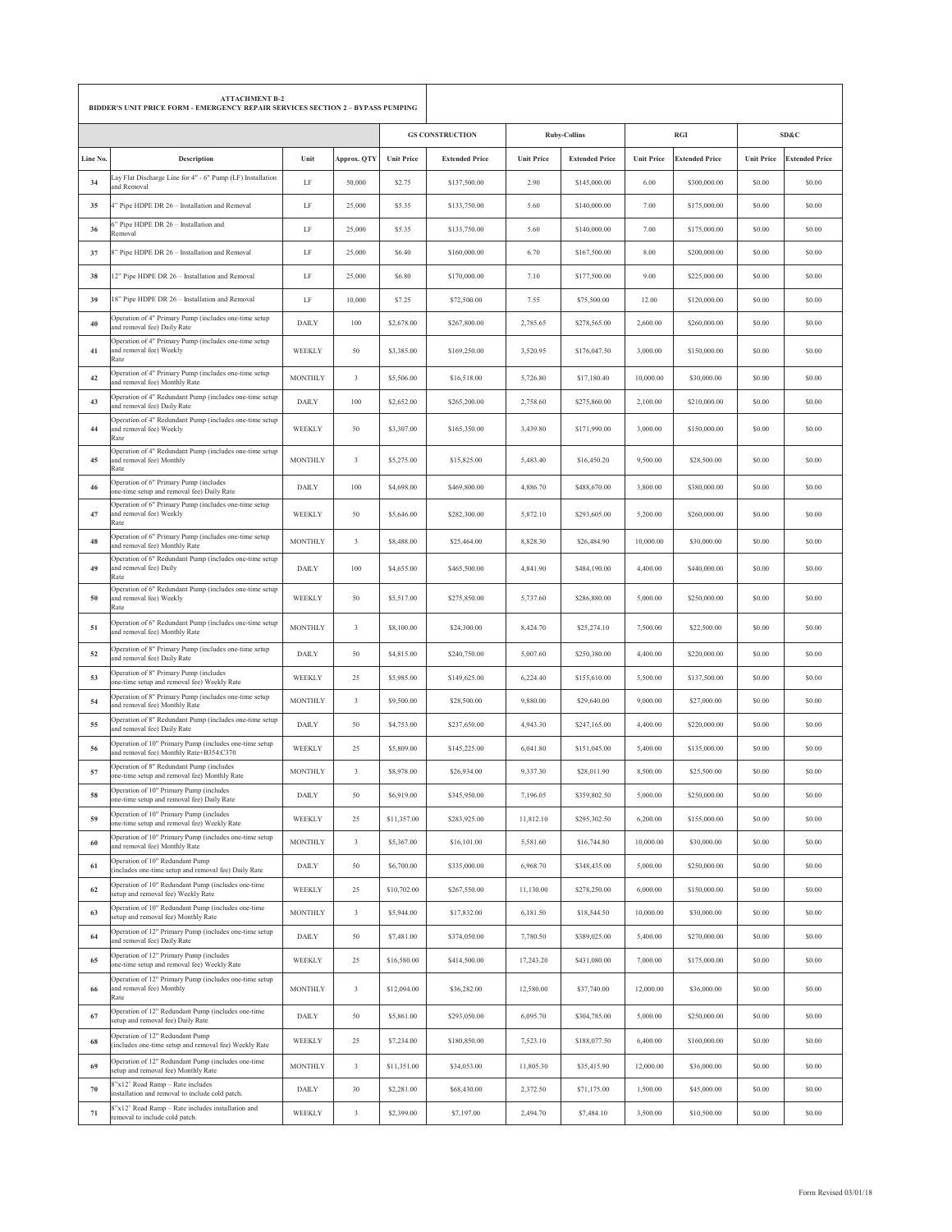|          | <b>ATTACHMENT B-2</b><br>BIDDER'S UNIT PRICE FORM - EMERGENCY REPAIR SERVICES SECTION 2 - BYPASS PUMPING |                |             |                   |                        |                   |                       |                   |                       |                   |                       |
|----------|----------------------------------------------------------------------------------------------------------|----------------|-------------|-------------------|------------------------|-------------------|-----------------------|-------------------|-----------------------|-------------------|-----------------------|
|          |                                                                                                          |                |             |                   | <b>GS CONSTRUCTION</b> |                   | <b>Ruby-Collins</b>   |                   | <b>RGI</b>            |                   | SD&C                  |
| Line No. | Description                                                                                              | Unit           | Approx. QTY | <b>Unit Price</b> | <b>Extended Price</b>  | <b>Unit Price</b> | <b>Extended Price</b> | <b>Unit Price</b> | <b>Extended Price</b> | <b>Unit Price</b> | <b>Extended Price</b> |
| 34       | Lay Flat Discharge Line for 4" - 6" Pump (LF) Installation<br>and Removal                                | LF             | 50,000      | \$2.75            | \$137,500.00           | 2.90              | \$145,000.00          | 6.00              | \$300,000.00          | \$0.00            | \$0.00                |
| 35       | 4" Pipe HDPE DR 26 - Installation and Removal                                                            | LF             | 25,000      | \$5.35            | \$133,750.00           | 5.60              | \$140,000.00          | 7.00              | \$175,000.00          | \$0.00            | \$0.00                |
| 36       | 6" Pipe HDPE DR 26 - Installation and<br>Removal                                                         | LF             | 25,000      | \$5.35            | \$133,750.00           | 5.60              | \$140,000.00          | 7.00              | \$175,000.00          | \$0.00            | \$0.00                |
| 37       | 8" Pipe HDPE DR 26 - Installation and Removal                                                            | LF             | 25,000      | \$6.40            | \$160,000.00           | 6.70              | \$167,500.00          | 8.00              | \$200,000.00          | \$0.00            | \$0.00                |
| 38       | 12" Pipe HDPE DR 26 - Installation and Removal                                                           | LF             | 25,000      | \$6.80            | \$170,000.00           | 7.10              | \$177,500.00          | 9.00              | \$225,000.00          | \$0.00            | \$0.00                |
| 39       | 18" Pipe HDPE DR 26 - Installation and Removal                                                           | LF             | 10,000      | \$7.25            | \$72,500.00            | 7.55              | \$75,500.00           | 12.00             | \$120,000.00          | \$0.00            | \$0.00                |
| 40       | Operation of 4" Primary Pump (includes one-time setup<br>and removal fee) Daily Rate                     | <b>DAILY</b>   | 100         | \$2,678.00        | \$267,800.00           | 2,785.65          | \$278,565.00          | 2,600.00          | \$260,000.00          | \$0.00            | \$0.00                |
| 41       | Operation of 4" Primary Pump (includes one-time setup<br>and removal fee) Weekly<br>Rate                 | WEEKLY         | 50          | \$3,385.00        | \$169,250.00           | 3,520.95          | \$176,047.50          | 3,000.00          | \$150,000.00          | \$0.00            | \$0.00                |
| 42       | Operation of 4" Primary Pump (includes one-time setup<br>and removal fee) Monthly Rate                   | <b>MONTHLY</b> | $\sqrt{3}$  | \$5,506.00        | \$16,518.00            | 5,726.80          | \$17,180.40           | 10,000.00         | \$30,000.00           | \$0.00            | \$0.00                |
| 43       | Operation of 4" Redundant Pump (includes one-time setup<br>and removal fee) Daily Rate                   | <b>DAILY</b>   | 100         | \$2,652.00        | \$265,200.00           | 2,758.60          | \$275,860.00          | 2,100.00          | \$210,000.00          | \$0.00            | \$0.00                |
| 44       | Operation of 4" Redundant Pump (includes one-time setup<br>and removal fee) Weekly<br>Rate               | WEEKLY         | 50          | \$3,307.00        | \$165,350.00           | 3,439.80          | \$171,990.00          | 3,000.00          | \$150,000.00          | \$0.00            | \$0.00                |
| 45       | Operation of 4" Redundant Pump (includes one-time setup<br>and removal fee) Monthly<br>Rate              | <b>MONTHLY</b> | $\sqrt{3}$  | \$5,275.00        | \$15,825.00            | 5,483.40          | \$16,450.20           | 9,500.00          | \$28,500.00           | \$0.00            | \$0.00                |
| 46       | Operation of 6" Primary Pump (includes<br>one-time setup and removal fee) Daily Rate                     | <b>DAILY</b>   | 100         | \$4,698.00        | \$469,800.00           | 4,886.70          | \$488,670.00          | 3,800.00          | \$380,000.00          | \$0.00            | \$0.00                |
| 47       | Operation of 6" Primary Pump (includes one-time setup<br>and removal fee) Weekly<br>Rate                 | WEEKLY         | 50          | \$5,646.00        | \$282,300.00           | 5,872.10          | \$293,605.00          | 5,200.00          | \$260,000.00          | \$0.00            | \$0.00                |
| 48       | Operation of 6" Primary Pump (includes one-time setup<br>and removal fee) Monthly Rate                   | <b>MONTHLY</b> | $\sqrt{3}$  | \$8,488.00        | \$25,464.00            | 8,828.30          | \$26,484.90           | 10,000.00         | \$30,000.00           | \$0.00            | \$0.00                |
| 49       | Operation of 6" Redundant Pump (includes one-time setup<br>and removal fee) Daily<br>Rate                | <b>DAILY</b>   | 100         | \$4,655.00        | \$465,500.00           | 4,841.90          | \$484,190.00          | 4,400.00          | \$440,000.00          | \$0.00            | \$0.00                |
| 50       | Operation of 6" Redundant Pump (includes one-time setup<br>and removal fee) Weekly<br>Rate               | WEEKLY         | 50          | \$5,517.00        | \$275,850.00           | 5,737.60          | \$286,880.00          | 5,000.00          | \$250,000.00          | \$0.00            | \$0.00                |
| 51       | Operation of 6" Redundant Pump (includes one-time setup<br>and removal fee) Monthly Rate                 | <b>MONTHLY</b> | $\sqrt{3}$  | \$8,100.00        | \$24,300.00            | 8,424.70          | \$25,274.10           | 7,500.00          | \$22,500.00           | \$0.00            | \$0.00                |
| 52       | Operation of 8" Primary Pump (includes one-time setup<br>and removal fee) Daily Rate                     | <b>DAILY</b>   | 50          | \$4,815.00        | \$240,750.00           | 5,007.60          | \$250,380.00          | 4,400.00          | \$220,000.00          | \$0.00            | \$0.00                |
| 53       | Operation of 8" Primary Pump (includes<br>one-time setup and removal fee) Weekly Rate                    | WEEKLY         | 25          | \$5,985.00        | \$149,625.00           | 6,224.40          | \$155,610.00          | 5,500.00          | \$137,500.00          | \$0.00            | \$0.00                |
| 54       | Operation of 8" Primary Pump (includes one-time setup<br>and removal fee) Monthly Rate                   | <b>MONTHLY</b> | $\sqrt{3}$  | \$9,500.00        | \$28,500.00            | 9,880.00          | \$29,640.00           | 9,000.00          | \$27,000.00           | \$0.00            | \$0.00                |
| 55       | Operation of 8" Redundant Pump (includes one-time setup<br>and removal fee) Daily Rate                   | <b>DAILY</b>   | 50          | \$4,753.00        | \$237,650.00           | 4,943.30          | \$247,165.00          | 4,400.00          | \$220,000.00          | \$0.00            | \$0.00                |
| 56       | Operation of 10" Primary Pump (includes one-time setup<br>and removal fee) Monthly Rate+B354:C370        | WEEKLY         | $25\,$      | \$5,809.00        | \$145,225.00           | 6,041.80          | \$151,045.00          | 5,400.00          | \$135,000.00          | \$0.00            | \$0.00                |
| 57       | Operation of 8" Redundant Pump (includes<br>one-time setup and removal fee) Monthly Rate                 | <b>MONTHLY</b> | $\sqrt{3}$  | \$8,978.00        | \$26,934.00            | 9,337.30          | \$28,011.90           | 8,500.00          | \$25,500.00           | \$0.00            | \$0.00                |
| 58       | Operation of 10" Primary Pump (includes<br>one-time setup and removal fee) Daily Rate                    | <b>DAILY</b>   | 50          | \$6,919.00        | \$345,950.00           | 7,196.05          | \$359,802.50          | 5,000.00          | \$250,000.00          | \$0.00            | \$0.00                |
| 59       | Operation of 10" Primary Pump (includes<br>one-time setup and removal fee) Weekly Rate                   | WEEKLY         | 25          | \$11,357.00       | \$283,925.00           | 11,812.10         | \$295,302.50          | 6,200.00          | \$155,000.00          | \$0.00            | \$0.00                |
| 60       | Operation of 10" Primary Pump (includes one-time setup<br>and removal fee) Monthly Rate                  | <b>MONTHLY</b> | $\sqrt{3}$  | \$5,367.00        | \$16,101.00            | 5,581.60          | \$16,744.80           | 10,000.00         | \$30,000.00           | \$0.00            | \$0.00                |
| 61       | Operation of 10" Redundant Pump<br>(includes one-time setup and removal fee) Daily Rate                  | <b>DAILY</b>   | 50          | \$6,700.00        | \$335,000.00           | 6,968.70          | \$348,435.00          | 5,000.00          | \$250,000.00          | \$0.00            | \$0.00                |
| 62       | Operation of 10" Redundant Pump (includes one-time<br>setup and removal fee) Weekly Rate                 | WEEKLY         | 25          | \$10,702.00       | \$267,550.00           | 11,130.00         | \$278,250.00          | 6,000.00          | \$150,000.00          | \$0.00            | \$0.00                |
| 63       | Operation of 10" Redundant Pump (includes one-time<br>setup and removal fee) Monthly Rate                | <b>MONTHLY</b> | 3           | \$5,944.00        | \$17,832.00            | 6,181.50          | \$18,544.50           | 10,000.00         | \$30,000.00           | \$0.00            | \$0.00                |
| 64       | Operation of 12" Primary Pump (includes one-time setup<br>and removal fee) Daily Rate                    | <b>DAILY</b>   | 50          | \$7,481.00        | \$374,050.00           | 7,780.50          | \$389,025.00          | 5,400.00          | \$270,000.00          | \$0.00            | \$0.00                |
| 65       | Operation of 12" Primary Pump (includes<br>one-time setup and removal fee) Weekly Rate                   | WEEKLY         | 25          | \$16,580.00       | \$414,500.00           | 17,243.20         | \$431,080.00          | 7,000.00          | \$175,000.00          | \$0.00            | \$0.00                |
| 66       | Operation of 12" Primary Pump (includes one-time setup<br>and removal fee) Monthly<br>Rate               | <b>MONTHLY</b> | $\sqrt{3}$  | \$12,094.00       | \$36,282.00            | 12,580.00         | \$37,740.00           | 12,000.00         | \$36,000.00           | \$0.00            | \$0.00                |
| 67       | Operation of 12" Redundant Pump (includes one-time<br>setup and removal fee) Daily Rate                  | <b>DAILY</b>   | 50          | \$5,861.00        | \$293,050.00           | 6,095.70          | \$304,785.00          | 5,000.00          | \$250,000.00          | \$0.00            | \$0.00                |
| 68       | Operation of 12" Redundant Pump<br>(includes one-time setup and removal fee) Weekly Rate                 | WEEKLY         | 25          | \$7,234.00        | \$180,850.00           | 7,523.10          | \$188,077.50          | 6,400.00          | \$160,000.00          | \$0.00            | \$0.00                |
| 69       | Operation of 12" Redundant Pump (includes one-time<br>setup and removal fee) Monthly Rate                | <b>MONTHLY</b> | $\sqrt{3}$  | \$11,351.00       | \$34,053.00            | 11,805.30         | \$35,415.90           | 12,000.00         | \$36,000.00           | \$0.00            | \$0.00                |
| 70       | 8"x12" Road Ramp - Rate includes<br>installation and removal to include cold patch.                      | <b>DAILY</b>   | 30          | \$2,281.00        | \$68,430.00            | 2,372.50          | \$71,175.00           | 1,500.00          | \$45,000.00           | \$0.00            | \$0.00                |
| 71       | 8"x12" Road Ramp - Rate includes installation and<br>removal to include cold patch.                      | WEEKLY         | $\sqrt{3}$  | \$2,399.00        | \$7,197.00             | 2,494.70          | \$7,484.10            | 3,500.00          | \$10,500.00           | \$0.00            | \$0.00                |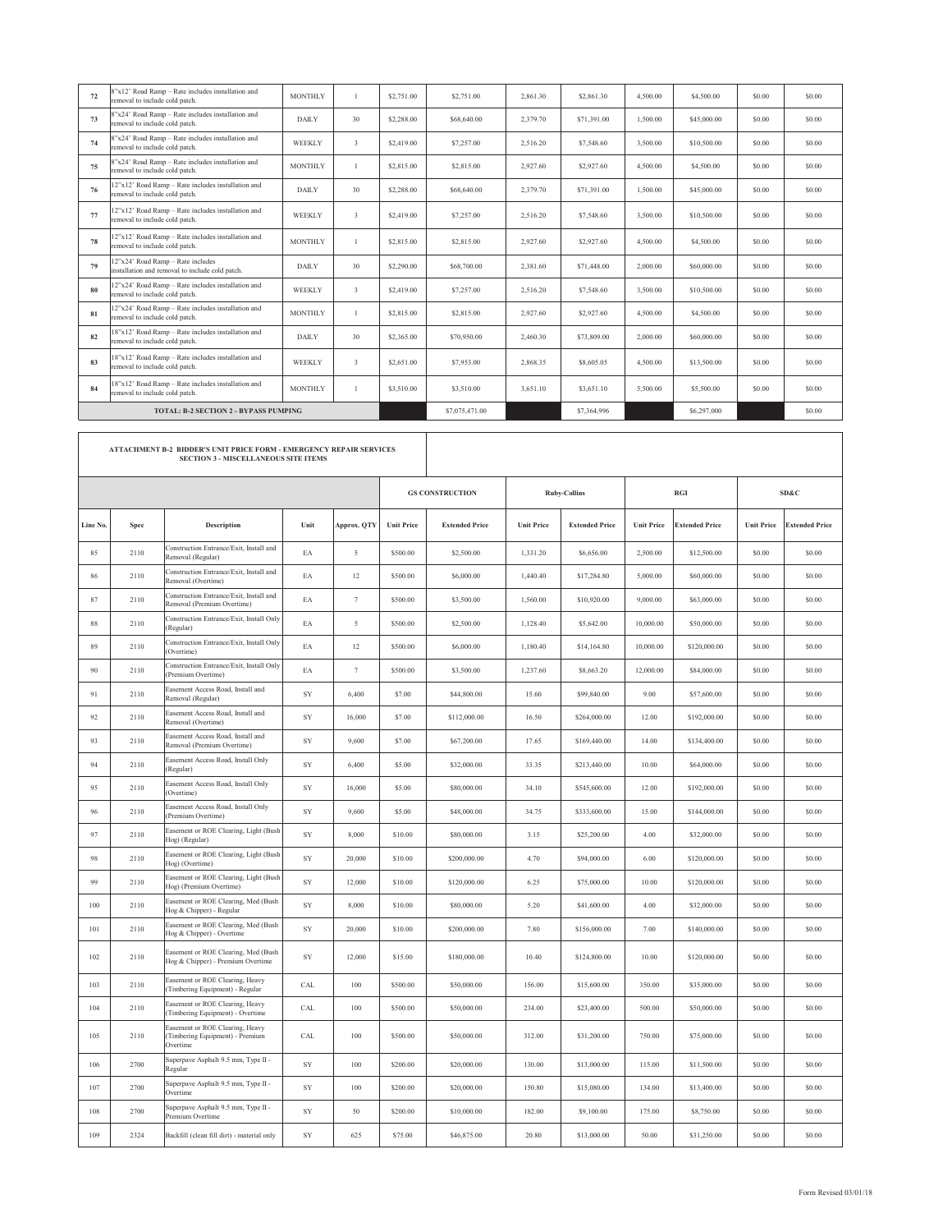| 72 | 8"x12' Road Ramp - Rate includes installation and<br>removal to include cold patch.                                | <b>MONTHLY</b> |                | \$2,751.00 | \$2,751.00  | 2.861.30 | \$2,861.30  | 4,500.00 | \$4,500.00  | \$0.00 | \$0.00 |
|----|--------------------------------------------------------------------------------------------------------------------|----------------|----------------|------------|-------------|----------|-------------|----------|-------------|--------|--------|
| 73 | 8"x24' Road Ramp - Rate includes installation and<br>removal to include cold patch.                                | <b>DAILY</b>   | 30             | \$2,288.00 | \$68,640.00 | 2.379.70 | \$71,391.00 | 1,500.00 | \$45,000.00 | \$0.00 | \$0.00 |
| 74 | 8"x24' Road Ramp - Rate includes installation and<br>removal to include cold patch.                                | WEEKLY         | 3              | \$2,419.00 | \$7,257.00  | 2.516.20 | \$7,548.60  | 3.500.00 | \$10,500.00 | \$0.00 | \$0.00 |
| 75 | 8"x24' Road Ramp - Rate includes installation and<br>removal to include cold patch.                                | <b>MONTHLY</b> |                | \$2,815.00 | \$2,815.00  | 2,927.60 | \$2,927.60  | 4.500.00 | \$4,500.00  | \$0.00 | \$0.00 |
| 76 | 12"x12" Road Ramp - Rate includes installation and<br>removal to include cold patch.                               | <b>DAILY</b>   | 30             | \$2,288.00 | \$68,640.00 | 2.379.70 | \$71,391.00 | 1,500.00 | \$45,000.00 | \$0.00 | \$0.00 |
| 77 | 12"x12' Road Ramp - Rate includes installation and<br>removal to include cold patch.                               | WEEKLY         | 3              | \$2,419.00 | \$7,257.00  | 2.516.20 | \$7,548.60  | 3.500.00 | \$10,500.00 | \$0.00 | \$0.00 |
| 78 | 12"x12' Road Ramp - Rate includes installation and<br>removal to include cold patch.                               | <b>MONTHLY</b> | $\overline{1}$ | \$2,815.00 | \$2,815.00  | 2.927.60 | \$2,927.60  | 4.500.00 | \$4,500.00  | \$0.00 | \$0.00 |
| 79 | 12"x24' Road Ramp - Rate includes<br>installation and removal to include cold patch.                               | <b>DAILY</b>   | 30             | \$2,290.00 | \$68,700.00 | 2,381.60 | \$71,448.00 | 2,000.00 | \$60,000.00 | \$0.00 | \$0.00 |
| 80 | 12"x24" Road Ramp - Rate includes installation and<br>removal to include cold patch.                               | <b>WEEKLY</b>  | 3              | \$2,419.00 | \$7,257.00  | 2.516.20 | \$7,548.60  | 3.500.00 | \$10,500.00 | \$0.00 | \$0.00 |
| 81 | 12"x24' Road Ramp - Rate includes installation and<br>removal to include cold patch.                               | <b>MONTHLY</b> |                | \$2,815.00 | \$2,815.00  | 2,927.60 | \$2,927.60  | 4.500.00 | \$4,500.00  | \$0.00 | \$0.00 |
| 82 | 18"x12" Road Ramp - Rate includes installation and<br>removal to include cold patch.                               | <b>DAILY</b>   | 30             | \$2,365.00 | \$70,950.00 | 2,460.30 | \$73,809.00 | 2,000.00 | \$60,000.00 | \$0.00 | \$0.00 |
| 83 | 18"x12' Road Ramp - Rate includes installation and<br>removal to include cold patch.                               | WEEKLY         | 3              | \$2,651.00 | \$7,953.00  | 2.868.35 | \$8,605.05  | 4,500.00 | \$13,500.00 | \$0.00 | \$0.00 |
| 84 | 18"x12" Road Ramp - Rate includes installation and<br>removal to include cold patch.                               | <b>MONTHLY</b> | $\mathbf{1}$   | \$3,510.00 | \$3,510.00  | 3.651.10 | \$3,651.10  | 5.500.00 | \$5,500.00  | \$0.00 | \$0.00 |
|    | <b>TOTAL: B-2 SECTION 2 - BYPASS PUMPING</b>                                                                       |                | \$7,075,471.00 |            | \$7,364,996 |          | \$6,297,000 |          | \$0.00      |        |        |
|    |                                                                                                                    |                |                |            |             |          |             |          |             |        |        |
|    | ATTACHMENT B-2 BIDDER'S UNIT PRICE FORM - EMERGENCY REPAIR SERVICES<br><b>SECTION 3 - MISCELLANEOUS SITE ITEMS</b> |                |                |            |             |          |             |          |             |        |        |

|          |      |                                                                                |      |             |                   | <b>GS CONSTRUCTION</b> |                   | <b>Ruby-Collins</b>   |                   | <b>RGI</b>            |                   | SD&C                  |
|----------|------|--------------------------------------------------------------------------------|------|-------------|-------------------|------------------------|-------------------|-----------------------|-------------------|-----------------------|-------------------|-----------------------|
| Line No. | Spec | Description                                                                    | Unit | Approx. QTY | <b>Unit Price</b> | <b>Extended Price</b>  | <b>Unit Price</b> | <b>Extended Price</b> | <b>Unit Price</b> | <b>Extended Price</b> | <b>Unit Price</b> | <b>Extended Price</b> |
| 85       | 2110 | Construction Entrance/Exit, Install and<br>Removal (Regular)                   | EA   | 5           | \$500.00          | \$2,500.00             | 1,331.20          | \$6,656.00            | 2,500.00          | \$12,500.00           | \$0.00            | \$0.00                |
| 86       | 2110 | Construction Entrance/Exit, Install and<br>Removal (Overtime)                  | EA   | 12          | \$500.00          | \$6,000.00             | 1,440.40          | \$17,284.80           | 5,000.00          | \$60,000.00           | \$0.00            | \$0.00                |
| 87       | 2110 | Construction Entrance/Exit, Install and<br>Removal (Premium Overtime)          | EA   | $\tau$      | \$500.00          | \$3,500.00             | 1,560.00          | \$10,920.00           | 9,000.00          | \$63,000.00           | \$0.00            | \$0.00                |
| 88       | 2110 | Construction Entrance/Exit, Install Only<br>(Regular)                          | EA   | 5           | \$500.00          | \$2,500.00             | 1,128.40          | \$5,642.00            | 10,000.00         | \$50,000.00           | \$0.00            | \$0.00                |
| 89       | 2110 | Construction Entrance/Exit, Install Only<br>(Overtime)                         | EA   | 12          | \$500.00          | \$6,000.00             | 1,180.40          | \$14,164.80           | 10,000.00         | \$120,000.00          | \$0.00            | \$0.00                |
| 90       | 2110 | Construction Entrance/Exit, Install Only<br>(Premium Overtime)                 | EA   | $\tau$      | \$500.00          | \$3,500.00             | 1,237.60          | \$8,663.20            | 12,000.00         | \$84,000.00           | \$0.00            | \$0.00                |
| 91       | 2110 | Easement Access Road, Install and<br>Removal (Regular)                         | SY   | 6,400       | \$7.00            | \$44,800.00            | 15.60             | \$99,840.00           | 9.00              | \$57,600.00           | \$0.00            | \$0.00                |
| 92       | 2110 | Easement Access Road, Install and<br>Removal (Overtime)                        | SY   | 16,000      | \$7.00            | \$112,000.00           | 16.50             | \$264,000.00          | 12.00             | \$192,000.00          | \$0.00            | \$0.00                |
| 93       | 2110 | Easement Access Road, Install and<br>Removal (Premium Overtime)                | SY   | 9,600       | \$7.00            | \$67,200.00            | 17.65             | \$169,440.00          | 14.00             | \$134,400.00          | \$0.00            | \$0.00                |
| 94       | 2110 | Easement Access Road, Install Only<br>(Regular)                                | SY   | 6,400       | \$5.00            | \$32,000.00            | 33.35             | \$213,440.00          | 10.00             | \$64,000.00           | \$0.00            | \$0.00                |
| 95       | 2110 | Easement Access Road, Install Only<br>(Overtime)                               | SY   | 16,000      | \$5.00            | \$80,000.00            | 34.10             | \$545,600.00          | 12.00             | \$192,000.00          | \$0.00            | \$0.00                |
| 96       | 2110 | Easement Access Road, Install Only<br>(Premium Overtime)                       | SY   | 9,600       | \$5.00            | \$48,000.00            | 34.75             | \$333,600.00          | 15.00             | \$144,000.00          | \$0.00            | \$0.00                |
| 97       | 2110 | Easement or ROE Clearing, Light (Bush<br>Hog) (Regular)                        | SY   | 8,000       | \$10.00           | \$80,000.00            | 3.15              | \$25,200.00           | 4.00              | \$32,000.00           | \$0.00            | \$0.00                |
| 98       | 2110 | Easement or ROE Clearing, Light (Bush<br>Hog) (Overtime)                       | SY   | 20,000      | \$10.00           | \$200,000.00           | 4.70              | \$94,000.00           | 6.00              | \$120,000.00          | \$0.00            | \$0.00                |
| 99       | 2110 | Easement or ROE Clearing, Light (Bush<br>Hog) (Premium Overtime)               | SY   | 12,000      | \$10.00           | \$120,000.00           | 6.25              | \$75,000.00           | 10.00             | \$120,000.00          | \$0.00            | \$0.00                |
| 100      | 2110 | Easement or ROE Clearing, Med (Bush<br>Hog & Chipper) - Regular                | SY   | 8,000       | \$10.00           | \$80,000.00            | 5.20              | \$41,600.00           | 4.00              | \$32,000.00           | \$0.00            | \$0.00                |
| 101      | 2110 | Easement or ROE Clearing, Med (Bush<br>Hog & Chipper) - Overtime               | SY   | 20,000      | \$10.00           | \$200,000.00           | 7.80              | \$156,000.00          | 7.00              | \$140,000.00          | \$0.00            | \$0.00                |
| 102      | 2110 | Easement or ROE Clearing, Med (Bush<br>Hog & Chipper) - Premium Overtime       | SY   | 12,000      | \$15.00           | \$180,000.00           | 10.40             | \$124,800.00          | 10.00             | \$120,000.00          | \$0.00            | \$0.00                |
| 103      | 2110 | Easement or ROE Clearing, Heavy<br>(Timbering Equipment) - Regular             | CAL  | 100         | \$500.00          | \$50,000.00            | 156.00            | \$15,600.00           | 350.00            | \$35,000.00           | \$0.00            | \$0.00                |
| 104      | 2110 | Easement or ROE Clearing, Heavy<br>(Timbering Equipment) - Overtime            | CAL  | 100         | \$500.00          | \$50,000.00            | 234.00            | \$23,400.00           | 500.00            | \$50,000.00           | \$0.00            | \$0.00                |
| 105      | 2110 | Easement or ROE Clearing, Heavy<br>(Timbering Equipment) - Premium<br>Overtime | CAL  | 100         | \$500.00          | \$50,000.00            | 312.00            | \$31,200.00           | 750.00            | \$75,000.00           | \$0.00            | \$0.00                |
| 106      | 2700 | Superpave Asphalt 9.5 mm, Type II -<br>Regular                                 | SY   | 100         | \$200.00          | \$20,000.00            | 130.00            | \$13,000.00           | 115.00            | \$11,500.00           | \$0.00            | \$0.00                |
| 107      | 2700 | Superpave Asphalt 9.5 mm, Type II -<br>Overtime                                | SY   | 100         | \$200.00          | \$20,000.00            | 150.80            | \$15,080.00           | 134.00            | \$13,400.00           | \$0.00            | \$0.00                |
| 108      | 2700 | Superpave Asphalt 9.5 mm, Type II -<br>Premium Overtime                        | SY   | 50          | \$200.00          | \$10,000.00            | 182.00            | \$9,100.00            | 175.00            | \$8,750.00            | \$0.00            | \$0.00                |
| 109      | 2324 | Backfill (clean fill dirt) - material only                                     | SY   | 625         | \$75.00           | \$46,875.00            | 20.80             | \$13,000.00           | 50.00             | \$31,250.00           | \$0.00            | \$0.00                |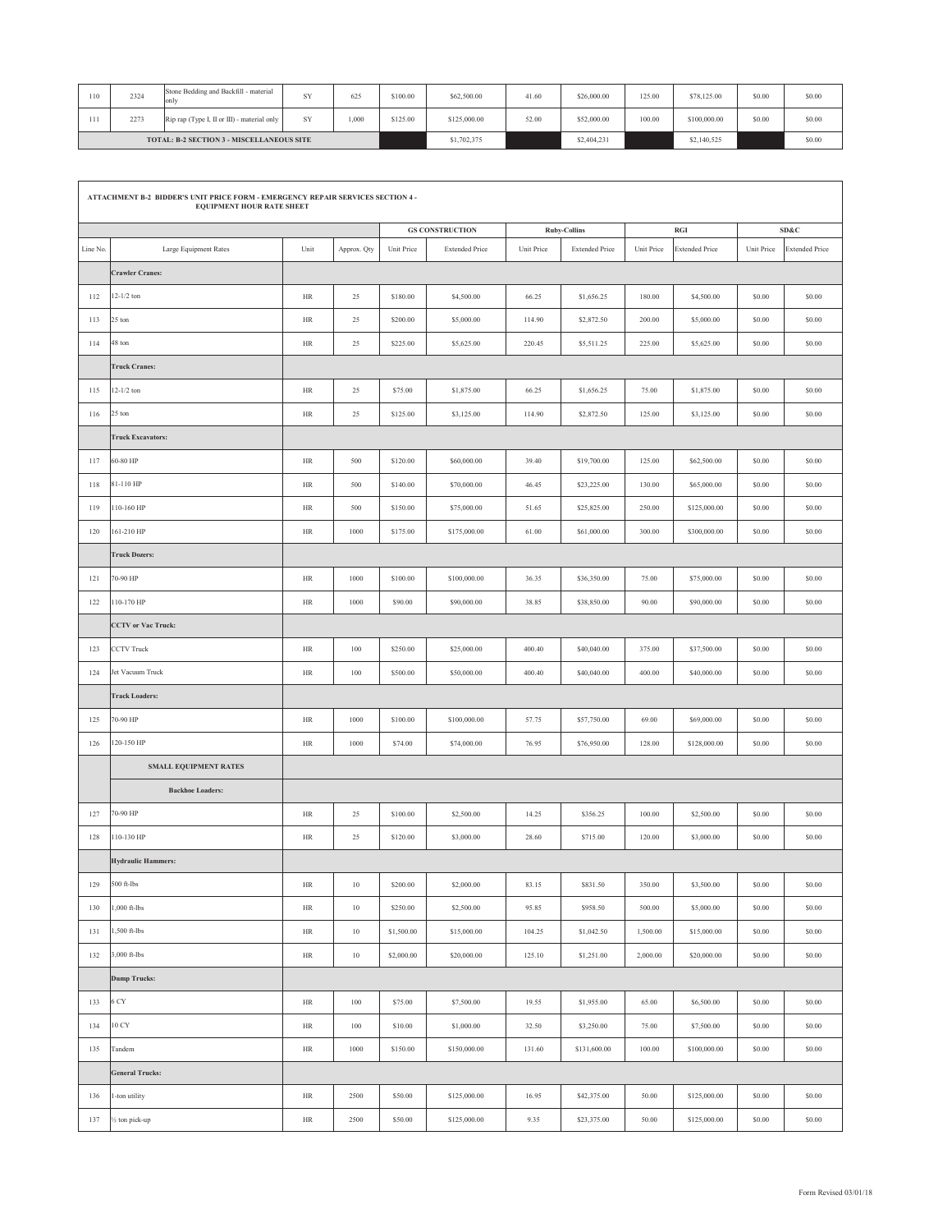| 110                                              | 2324 | Stone Bedding and Backfill - material<br>onlv | SY | 625   | \$100.00 | \$62,500.00  | 41.60 | \$26,000.00 | 125.00 | \$78,125.00  | \$0.00 | \$0.00 |
|--------------------------------------------------|------|-----------------------------------------------|----|-------|----------|--------------|-------|-------------|--------|--------------|--------|--------|
|                                                  | 2273 | Rip rap (Type I, II or III) - material only   | SY | 1.000 | \$125.00 | \$125,000.00 | 52.00 | \$52,000.00 | 100.00 | \$100,000.00 | \$0.00 | \$0.00 |
| <b>TOTAL: B-2 SECTION 3 - MISCELLANEOUS SITE</b> |      |                                               |    |       |          | \$1,702,375  |       | \$2,404,231 |        | \$2,140,525  |        | \$0.00 |

 $\mathsf{r}$ 

|          | ATTACHMENT B-2 BIDDER'S UNIT PRICE FORM - EMERGENCY REPAIR SERVICES SECTION 4 -<br><b>EQUIPMENT HOUR RATE SHEET</b><br>SD&C<br><b>GS CONSTRUCTION</b><br><b>Ruby-Collins</b><br>RGI |           |             |            |                       |            |                       |            |                       |            |                       |  |  |  |
|----------|-------------------------------------------------------------------------------------------------------------------------------------------------------------------------------------|-----------|-------------|------------|-----------------------|------------|-----------------------|------------|-----------------------|------------|-----------------------|--|--|--|
|          |                                                                                                                                                                                     |           |             |            |                       |            |                       |            |                       |            |                       |  |  |  |
| Line No. | Large Equipment Rates                                                                                                                                                               | Unit      | Approx. Qty | Unit Price | <b>Extended Price</b> | Unit Price | <b>Extended Price</b> | Unit Price | <b>Extended Price</b> | Unit Price | <b>Extended Price</b> |  |  |  |
|          | <b>Crawler Cranes:</b>                                                                                                                                                              |           |             |            |                       |            |                       |            |                       |            |                       |  |  |  |
| 112      | $12 - 1/2$ ton                                                                                                                                                                      | $\rm{HR}$ | $25\,$      | \$180.00   | \$4,500.00            | 66.25      | \$1,656.25            | 180.00     | \$4,500.00            | \$0.00     | \$0.00                |  |  |  |
| 113      | 25 ton                                                                                                                                                                              | $\rm{HR}$ | $25\,$      | \$200.00   | \$5,000.00            | 114.90     | \$2,872.50            | 200.00     | \$5,000.00            | \$0.00     | \$0.00                |  |  |  |
| 114      | 48 ton                                                                                                                                                                              | $\rm{HR}$ | $25\,$      | \$225.00   | \$5,625.00            | 220.45     | \$5,511.25            | 225.00     | \$5,625.00            | \$0.00     | \$0.00                |  |  |  |
|          | <b>Truck Cranes:</b>                                                                                                                                                                |           |             |            |                       |            |                       |            |                       |            |                       |  |  |  |
| 115      | $12-1/2$ ton                                                                                                                                                                        | HR        | 25          | \$75.00    | \$1,875.00            | 66.25      | \$1,656.25            | 75.00      | \$1,875.00            | \$0.00     | \$0.00                |  |  |  |
| 116      | 25 ton                                                                                                                                                                              | HR        | 25          | \$125.00   | \$3,125.00            | 114.90     | \$2,872.50            | 125.00     | \$3,125.00            | \$0.00     | \$0.00                |  |  |  |
|          | <b>Truck Excavators:</b>                                                                                                                                                            |           |             |            |                       |            |                       |            |                       |            |                       |  |  |  |
| 117      | 60-80 HP                                                                                                                                                                            | HR        | 500         | \$120.00   | \$60,000.00           | 39.40      | \$19,700.00           | 125.00     | \$62,500.00           | \$0.00     | \$0.00                |  |  |  |
| 118      | 81-110 HP                                                                                                                                                                           | HR        | 500         | \$140.00   | \$70,000.00           | 46.45      | \$23,225.00           | 130.00     | \$65,000.00           | \$0.00     | \$0.00                |  |  |  |
| 119      | 110-160 HP                                                                                                                                                                          | $\rm{HR}$ | 500         | \$150.00   | \$75,000.00           | 51.65      | \$25,825.00           | 250.00     | \$125,000.00          | \$0.00     | \$0.00                |  |  |  |
| 120      | 161-210 HP                                                                                                                                                                          | $\rm{HR}$ | 1000        | \$175.00   | \$175,000.00          | 61.00      | \$61,000.00           | 300.00     | \$300,000.00          | \$0.00     | \$0.00                |  |  |  |
|          | <b>Truck Dozers:</b>                                                                                                                                                                |           |             |            |                       |            |                       |            |                       |            |                       |  |  |  |
| 121      | 70-90 HP                                                                                                                                                                            | HR        | 1000        | \$100.00   | \$100,000.00          | 36.35      | \$36,350.00           | 75.00      | \$75,000.00           | \$0.00     | \$0.00                |  |  |  |
| 122      | 110-170 HP                                                                                                                                                                          | $\rm{HR}$ | 1000        | \$90.00    | \$90,000.00           | 38.85      | \$38,850.00           | 90.00      | \$90,000.00           | \$0.00     | $\$0.00$              |  |  |  |
|          | <b>CCTV</b> or Vac Truck:                                                                                                                                                           |           |             |            |                       |            |                       |            |                       |            |                       |  |  |  |
| 123      | <b>CCTV</b> Truck                                                                                                                                                                   | HR        | 100         | \$250.00   | \$25,000.00           | 400.40     | \$40,040.00           | 375.00     | \$37,500.00           | \$0.00     | \$0.00                |  |  |  |
| 124      | Jet Vacuum Truck                                                                                                                                                                    | HR        | 100         | \$500.00   | \$50,000.00           | 400.40     | \$40,040.00           | 400.00     | \$40,000.00           | \$0.00     | \$0.00                |  |  |  |
|          | <b>Track Loaders:</b>                                                                                                                                                               |           |             |            |                       |            |                       |            |                       |            |                       |  |  |  |
| 125      | 70-90 HP                                                                                                                                                                            | HR        | 1000        | \$100.00   | \$100,000.00          | 57.75      | \$57,750.00           | 69.00      | \$69,000.00           | \$0.00     | \$0.00                |  |  |  |
| 126      | 120-150 HP                                                                                                                                                                          | HR        | 1000        | \$74.00    | \$74,000.00           | 76.95      | \$76,950.00           | 128.00     | \$128,000.00          | \$0.00     | \$0.00                |  |  |  |
|          | <b>SMALL EQUIPMENT RATES</b>                                                                                                                                                        |           |             |            |                       |            |                       |            |                       |            |                       |  |  |  |
|          | <b>Backhoe Loaders:</b>                                                                                                                                                             |           |             |            |                       |            |                       |            |                       |            |                       |  |  |  |
| 127      | 70-90 HP                                                                                                                                                                            | HR        | 25          | \$100.00   | \$2,500.00            | 14.25      | \$356.25              | 100.00     | \$2,500.00            | \$0.00     | \$0.00                |  |  |  |
| 128      | 110-130 HP                                                                                                                                                                          | HR        | $25\,$      | \$120.00   | \$3,000.00            | 28.60      | \$715.00              | 120.00     | \$3,000.00            | \$0.00     | \$0.00                |  |  |  |
|          | <b>Hydraulic Hammers:</b>                                                                                                                                                           |           |             |            |                       |            |                       |            |                       |            |                       |  |  |  |
| 129      | $500$ ft-lbs                                                                                                                                                                        | HR        | $10\,$      | \$200.00   | \$2,000.00            | 83.15      | \$831.50              | 350.00     | \$3,500.00            | \$0.00     | $\$0.00$              |  |  |  |
| 130      | $1,000$ ft-lbs                                                                                                                                                                      | $\rm{HR}$ | $10\,$      | \$250.00   | \$2,500.00            | 95.85      | \$958.50              | 500.00     | \$5,000.00            | \$0.00     | $\$0.00$              |  |  |  |
| 131      | 1,500 ft-lbs                                                                                                                                                                        | $\rm{HR}$ | $10\,$      | \$1,500.00 | \$15,000.00           | 104.25     | \$1,042.50            | 1,500.00   | \$15,000.00           | \$0.00     | $\$0.00$              |  |  |  |
| 132      | 3,000 ft-lbs                                                                                                                                                                        | $\rm{HR}$ | $10\,$      | \$2,000.00 | \$20,000.00           | 125.10     | \$1,251.00            | 2,000.00   | \$20,000.00           | \$0.00     | $\$0.00$              |  |  |  |
|          | <b>Dump Trucks:</b>                                                                                                                                                                 |           |             |            |                       |            |                       |            |                       |            |                       |  |  |  |
| 133      | 6 CY                                                                                                                                                                                | $\rm{HR}$ | $100\,$     | \$75.00    | \$7,500.00            | 19.55      | \$1,955.00            | 65.00      | \$6,500.00            | \$0.00     | $\$0.00$              |  |  |  |
| 134      | $10\;\mathrm{CY}$                                                                                                                                                                   | $\rm{HR}$ | 100         | \$10.00    | \$1,000.00            | 32.50      | \$3,250.00            | 75.00      | \$7,500.00            | \$0.00     | \$0.00                |  |  |  |
| 135      | Tandem                                                                                                                                                                              | $\rm{HR}$ | 1000        | \$150.00   | \$150,000.00          | 131.60     | \$131,600.00          | 100.00     | \$100,000.00          | \$0.00     | $\$0.00$              |  |  |  |
|          | <b>General Trucks:</b>                                                                                                                                                              |           |             |            |                       |            |                       |            |                       |            |                       |  |  |  |
| 136      | 1-ton utility                                                                                                                                                                       | $\rm{HR}$ | 2500        | \$50.00    | \$125,000.00          | 16.95      | \$42,375.00           | 50.00      | \$125,000.00          | \$0.00     | \$0.00                |  |  |  |
| 137      | 1/2 ton pick-up                                                                                                                                                                     | $\rm{HR}$ | 2500        | \$50.00    | \$125,000.00          | 9.35       | \$23,375.00           | 50.00      | \$125,000.00          | $\$0.00$   | \$0.00                |  |  |  |